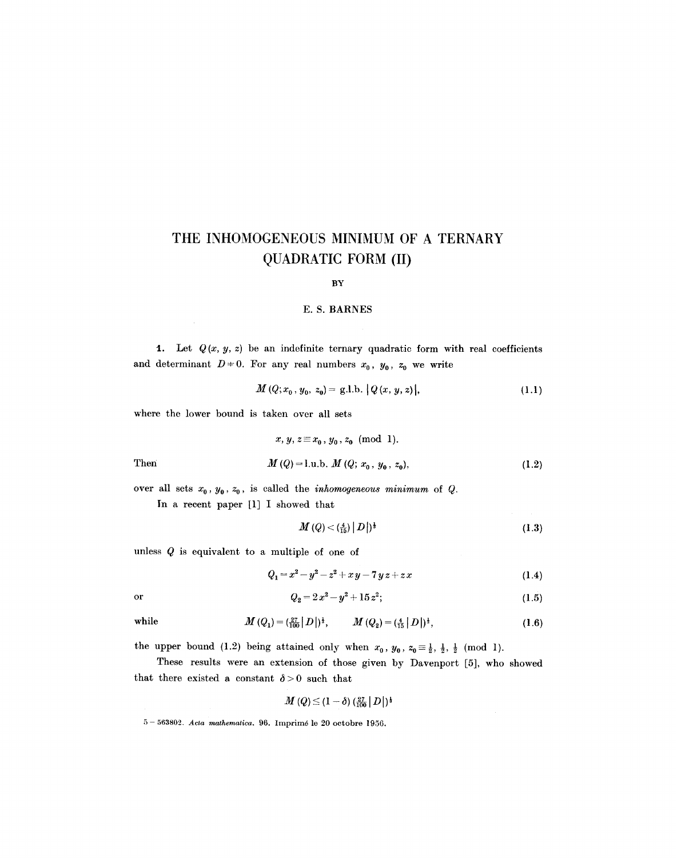# **THE INHOMOGENEOUS MINIMUM OF A TERNARY**  QUADRATIC FORM (II)

#### BY

### **E. S. BARNES**

1. Let  $Q(x, y, z)$  be an indefinite ternary quadratic form with real coefficients and determinant  $D = 0$ . For any real numbers  $x_0$ ,  $y_0$ ,  $z_0$  we write

$$
M(Q; x_0, y_0, z_0) = g.l.b. \left| Q(x, y, z) \right|,\tag{1.1}
$$

where the lower bound is taken over all sets

$$
x, y, z \equiv x_0, y_0, z_0 \pmod{1}.
$$
  
Then 
$$
M(Q) = 1, u, b, M(Q; x_0, y_0, z_0),
$$
 (1.2)

over all sets  $x_0$ ,  $y_0$ ,  $z_0$ , is called the *inhomogeneous minimum* of Q.

In a recent paper [1] I showed that

$$
M(Q) < \left(\frac{4}{15}\right) |D| \, \frac{1}{3} \tag{1.3}
$$

unless Q is equivalent to a multiple of one of

$$
Q_1 = x^2 - y^2 - z^2 + xy - 7yz + zx \tag{1.4}
$$

$$
\alpha
$$

or 
$$
Q_2 = 2x^2 - y^2 + 15z^2;
$$
 (1.5)

while 
$$
M(Q_1) = (\frac{27}{100}|D|)^{\frac{1}{3}}, \qquad M(Q_2) = (\frac{4}{15}|D|)^{\frac{1}{3}},
$$
 (1.6)

the upper bound (1.2) being attained only when  $x_0$ ,  $y_0$ ,  $z_0 \equiv \frac{1}{2}$ ,  $\frac{1}{2}$ ,  $\frac{1}{2}$  (mod 1).

These results were an extension of those given by Davenport [5], who showed that there existed a constant  $\delta > 0$  such that

$$
M\left(Q\right) \leq\left(1-\delta\right) (\tfrac{27}{100}\left|\,D\right|)^{\frac{1}{3}}
$$

5- 563892. *Acta mathematica.* 96. Imprim6 le 20 octobre 1956.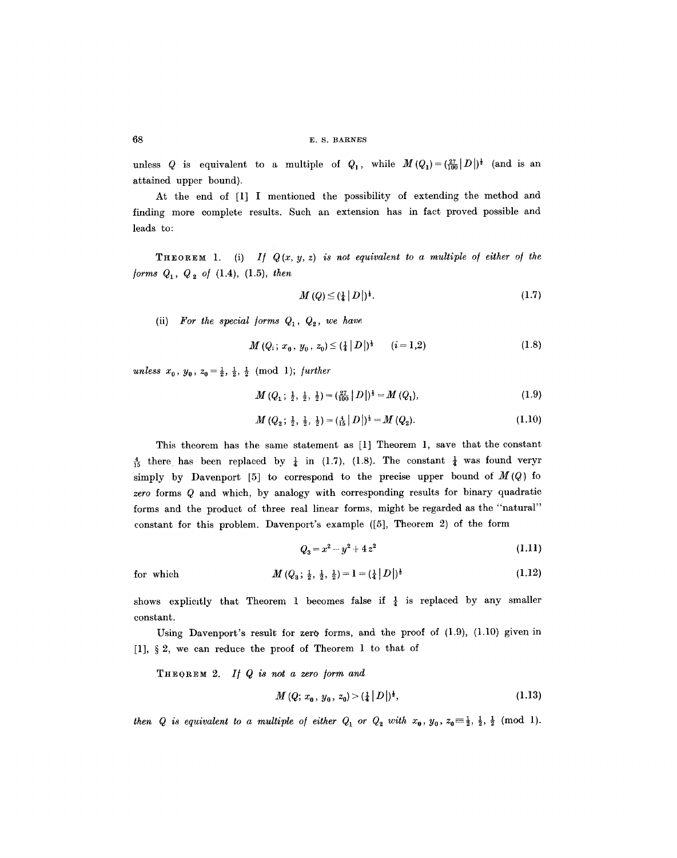unless Q is equivalent to a multiple of  $Q_1$ , while  $M(Q_1)=(\frac{27}{100}|D|)^{\frac{1}{2}}$  (and is an attained upper bound).

At the end of [1] I mentioned the possibility of extending the method and finding more complete results. Such an extension has in fact proved possible and leads to:

**THEOREM** 1. (i) If  $Q(x, y, z)$  is not equivalent to a multiple of either of the */orms Q~, Q~ o/* (1.4), (1.5), *then* 

$$
M(Q) \leq \left(\frac{1}{4} \mid D\right)\right)^{\frac{1}{2}}.\tag{1.7}
$$

(ii) For the special forms  $Q_1, Q_2,$  we have

$$
M(Q_i; x_0, y_0, z_0) \leq (\frac{1}{4} |D|)^{\frac{1}{3}} \qquad (i = 1, 2)
$$
 (1.8)

*unless*  $x_0$ ,  $y_0$ ,  $z_0 = \frac{1}{2}$ ,  $\frac{1}{2}$ ,  $\frac{1}{2}$  (mod 1); *further* 

 $M(Q_1; \frac{1}{2}, \frac{1}{2}, \frac{1}{2}) = (\frac{27}{100} |D|)^{\frac{1}{3}} = M(Q_1),$ (1.9)

$$
M(Q_2; \frac{1}{2}, \frac{1}{2}, \frac{1}{2}) = (\frac{4}{15} |D|)^{\frac{1}{3}} = M(Q_2).
$$
 (1.10)

This theorem has the same statement as [1] Theorem 1, save that the constant  $\frac{4}{15}$  there has been replaced by  $\frac{1}{4}$  in (1.7), (1.8). The constant  $\frac{1}{4}$  was found veryr simply by Davenport [5] to correspond to the precise upper bound of  $M(Q)$  fo *zero* forms Q and which, by analogy with corresponding results for binary quadratic forms and the product of three real linear forms, might be regarded as the "natural" constant for this problem. Davenport's example ([5], Theorem 2) of the form

$$
Q_3 = x^2 - y^2 + 4z^2 \tag{1.11}
$$

for which 
$$
M(Q_3; \frac{1}{2}, \frac{1}{2}, \frac{1}{2}) = 1 = (\frac{1}{4} |D|)^{\frac{1}{3}}
$$
 (1.12)

shows explicitly that Theorem 1 becomes false if  $\frac{1}{4}$  is replaced by any smaller constant.

Using Davenport's result for zero forms, and the proof of  $(1.9)$ ,  $(1.10)$  given in [1],  $\S 2$ , we can reduce the proof of Theorem 1 to that of

THEOREM *2. I~ Q is not a zero /orm and* 

$$
M(Q; x_0, y_0, z_0) > (\frac{1}{4}|D|)^{\frac{1}{3}}, \tag{1.13}
$$

*then Q* is equivalent to a multiple of either  $Q_1$  or  $Q_2$  with  $x_0$ ,  $y_0$ ,  $z_0 \equiv \frac{1}{2}$ ,  $\frac{1}{2}$ ,  $\frac{1}{2}$  (mod 1).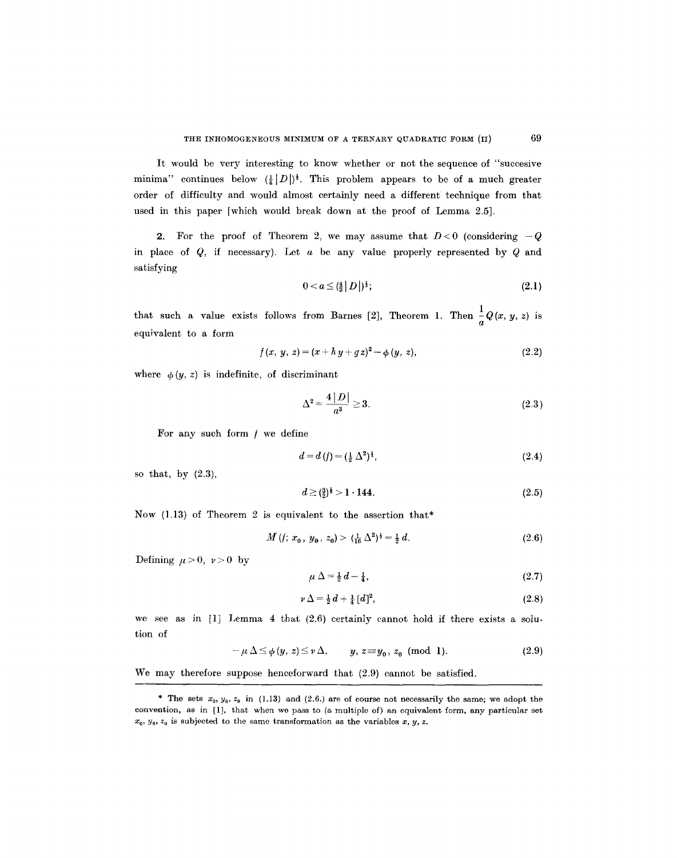It would be very interesting to know whether or not the sequence of "succesive minima" continues below  $(\frac{1}{4}|D|)^{\frac{1}{3}}$ . This problem appears to be of a much greater order of difficulty and would almost certainly need a different technique from that used in this paper [which would break down at the proof of Lemma 2.5].

2. For the proof of Theorem 2, we may assume that  $D < 0$  (considering  $-Q$ in place of  $Q$ , if necessary). Let  $a$  be any value properly represented by  $Q$  and satisfying

$$
0 < a \leq \left(\frac{4}{3} \,|\, D\,\right)|^{\frac{1}{3}};\tag{2.1}
$$

that such a value exists follows from Barnes [2], Theorem 1. Then  $\frac{1}{a}Q(x, y, z)$  is equivalent to a form

$$
f(x, y, z) = (x + h y + g z)^{2} - \phi (y, z),
$$
\n(2.2)

where  $\phi(y, z)$  is indefinite, of discriminant

$$
\Delta^2 = \frac{4|D|}{a^3} \ge 3. \tag{2.3}
$$

For any such form  $f$  we define

$$
d = d(f) = (\frac{1}{2} \Delta^2)^{\frac{1}{3}},\tag{2.4}
$$

so that, by (2.3),

$$
d \ge \left(\frac{3}{2}\right)^{\frac{1}{8}} > 1 \cdot 144. \tag{2.5}
$$

Now (1.13) of Theorem 2 is equivalent to the assertion that\*

$$
M(t; x_0, y_0, z_0) > (\frac{1}{16} \Delta^2)^{\frac{1}{3}} = \frac{1}{2} d. \tag{2.6}
$$

Defining  $\mu > 0$ ,  $\nu > 0$  by

$$
\mu \Delta = \frac{1}{2} d - \frac{1}{4},\tag{2.7}
$$

$$
\nu \Delta = \frac{1}{2} d + \frac{1}{4} [d]^2,\tag{2.8}
$$

we see as in [1] Lemma 4 that (2.6) certainly cannot hold if there exists a solution of

$$
-\mu \Delta \leq \phi(y, z) \leq \nu \Delta, \qquad y, z \equiv y_0, z_0 \pmod{1}.
$$
 (2.9)

We may therefore suppose henceforward that (2.9) cannot be satisfied.

<sup>\*</sup> The sets  $x_0, y_0, z_0$  in (1.13) and (2.6.) are of course not necessarily the same; we adopt the convention, as in [1], that when we pass to (a multiple of) an equivalent form, any particular set  $x_0, y_0, z_0$  is subjected to the same transformation as the variables x, y, z.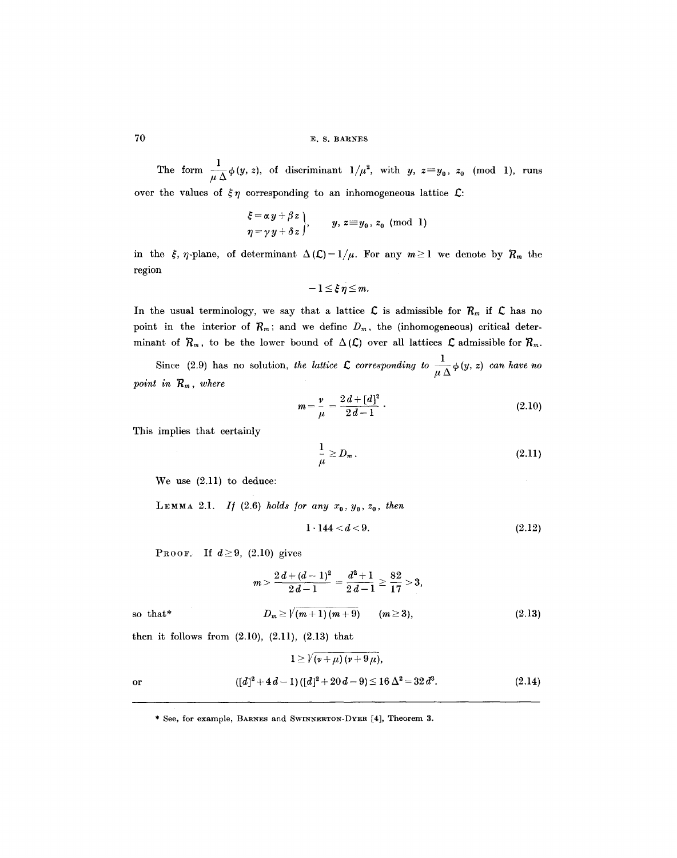# 70 E.S. BARNES

The form  $\frac{1}{\lambda} \phi(y, z)$ , of discriminant  $1/\mu^2$ , with *y*,  $z = y_0$ ,  $z_0$  (mod 1), runs over the values of  $\xi \eta$  corresponding to an inhomogeneous lattice  $\mathcal{L}$ :

$$
\xi = \alpha y + \beta z
$$
  
\n
$$
\eta = \gamma y + \delta z
$$
,  $y, z \equiv y_0, z_0 \pmod{1}$ 

in the  $\zeta$ ,  $\eta$ -plane, of determinant  $\Delta (\mathcal{L}) = 1/\mu$ . For any  $m \ge 1$  we denote by  $\mathcal{R}_m$  the region

$$
-1\leq \xi\ \eta\leq m
$$

In the usual terminology, we say that a lattice  $\mathcal L$  is admissible for  $\mathcal R_m$  if  $\mathcal L$  has no point in the interior of  $\mathcal{R}_m$ ; and we define  $D_m$ , the (inhomogeneous) critical determinant of  $R_m$ , to be the lower bound of  $\Delta(\mathcal{L})$  over all lattices  $\mathcal L$  admissible for  $R_m$ .

Since (2.9) has no solution, *the lattice*  $\mathcal L$  corresponding to  $\frac{1}{\sqrt{2}}\phi(y, z)$  can have no *point in*  $R_m$ , where

$$
m = \frac{\nu}{\mu} = \frac{2d + [d]^2}{2d - 1} \tag{2.10}
$$

This implies that certainly

$$
\frac{1}{\mu} \ge D_m \,. \tag{2.11}
$$

We use (2.11) to deduce:

LEMMA 2.1. If (2.6) holds for any  $x_0, y_0, z_0$ , then

$$
1 \cdot 144 < d < 9. \tag{2.12}
$$

**PROOF.** If  $d \geq 9$ , (2.10) gives

$$
m > \frac{2d + (d-1)^2}{2d-1} = \frac{d^2+1}{2d-1} \ge \frac{82}{17} > 3,
$$
  
so that\* 
$$
D_m \ge \sqrt{(m+1)(m+9)} \qquad (m \ge 3), \tag{2.13}
$$

then it follows from  $(2.10)$ ,  $(2.11)$ ,  $(2.13)$  that

$$
1 \ge \sqrt{(\nu + \mu)(\nu + 9\mu)},
$$
  
or 
$$
([d]^2 + 4d - 1)([d]^2 + 20d - 9) \le 16 \Delta^2 = 32 d^3.
$$
 (2.14)

<sup>\*</sup> See, for example, BARNES and SWINNERTON-DYER [4], Theorem 3.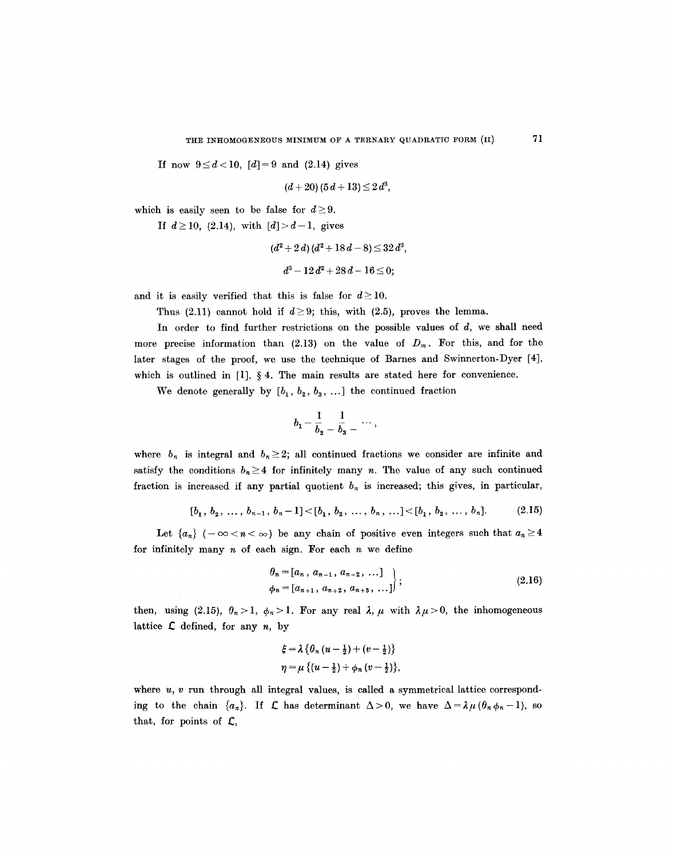If now  $9 \le d < 10$ ,  $[d] = 9$  and (2.14) gives

$$
(d+20)\,(5\,d+13)\,{\leq}\,2\,d^3,
$$

which is easily seen to be false for  $d \geq 9$ .

If  $d \ge 10$ , (2.14), with  $[d] > d-1$ , gives

$$
(d^2+2\,d)\,(d^2+18\,d-8)\!\leq\!32\,d^3,\\[4pt] d^3-12\,d^2+28\,d-16\!\leq\!0;
$$

and it is easily verified that this is false for  $d \ge 10$ .

Thus (2.11) cannot hold if  $d \geq 9$ ; this, with (2.5), proves the lemma.

In order to find further restrictions on the possible values of  $d$ , we shall need more precise information than (2.13) on the value of  $D_m$ . For this, and for the later stages of the proof, we use the technique of Barnes and Swinnerton-Dyer [4], which is outlined in  $[1]$ ,  $\S 4$ . The main results are stated here for convenience.

We denote generally by  $[b_1, b_2, b_3, \ldots]$  the continued fraction

$$
b_1-\frac{1}{b_2}-\frac{1}{b_3}-\cdots
$$

where  $b_n$  is integral and  $b_n \geq 2$ ; all continued fractions we consider are infinite and satisfy the conditions  $b_n \geq 4$  for infinitely many n. The value of any such continued fraction is increased if any partial quotient  $b_n$  is increased; this gives, in particular,

$$
[b_1, b_2, \ldots, b_{n-1}, b_n-1] < [b_1, b_2, \ldots, b_n, \ldots] < [b_1, b_2, \ldots, b_n].
$$
 (2.15)

Let  $\{a_n\}$  ( $-\infty < n < \infty$ ) be any chain of positive even integers such that  $a_n \geq 4$ for infinitely many  $n$  of each sign. For each  $n$  we define

$$
\begin{aligned}\n\theta_n &= [a_n, \, a_{n-1}, \, a_{n-2}, \, \dots] \\
\phi_n &= [a_{n+1}, \, a_{n+2}, \, a_{n+3}, \, \dots]\n\end{aligned}\n\bigg\};\n\tag{2.16}
$$

then, using (2.15),  $\theta_n > 1$ ,  $\phi_n > 1$ . For any real  $\lambda, \mu$  with  $\lambda \mu > 0$ , the inhomogeneous lattice  $\mathcal L$  defined, for any n, by

$$
\xi = \lambda \left\{ \theta_n \left( u - \frac{1}{2} \right) + \left( v - \frac{1}{2} \right) \right\}
$$

$$
\eta = \mu \left\{ \left( u - \frac{1}{2} \right) + \phi_n \left( v - \frac{1}{2} \right) \right\},\
$$

where  $u, v$  run through all integral values, is called a symmetrical lattice corresponding to the chain  $\{a_n\}$ . If  $\mathcal L$  has determinant  $\Delta>0$ , we have  $\Delta=\lambda\mu(\theta_n\phi_n-1)$ , so that, for points of E,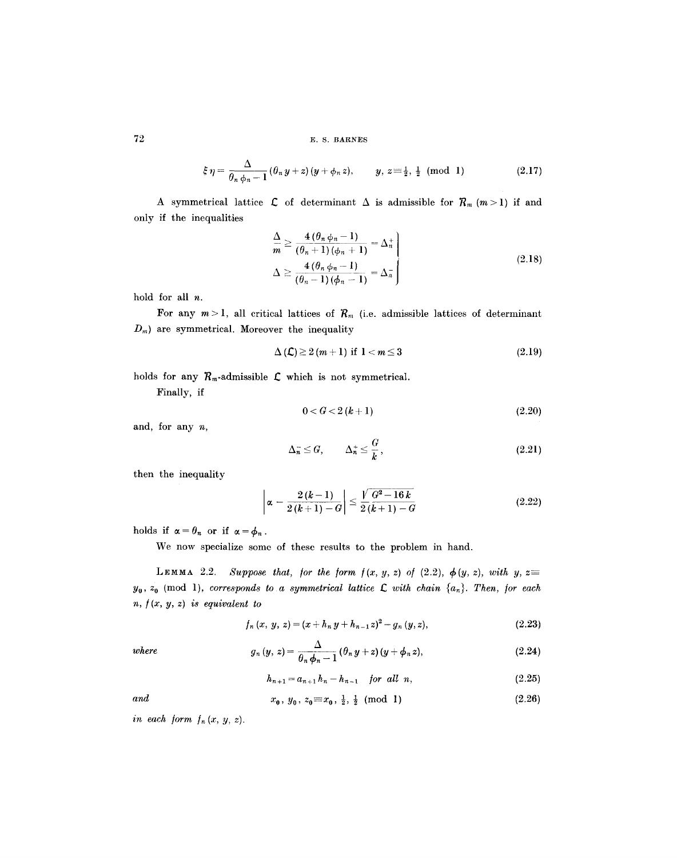72 E. S. BARNES

$$
\xi \eta = \frac{\Delta}{\theta_n \phi_n - 1} (\theta_n y + z) (y + \phi_n z), \qquad y, z = \frac{1}{2}, \frac{1}{2} \pmod{1} \tag{2.17}
$$

A symmetrical lattice  $\mathcal L$  of determinant  $\Delta$  is admissible for  $\mathcal R_m$   $(m>1)$  if and only if the inequalities

$$
\left.\frac{\Delta}{m}\geq\frac{4\left(\theta_{n}\phi_{n}-1\right)}{\left(\theta_{n}+1\right)\left(\phi_{n}+1\right)}=\Delta_{n}^{+}
$$
\n
$$
\Delta\geq\frac{4\left(\theta_{n}\phi_{n}-1\right)}{\left(\theta_{n}-1\right)\left(\phi_{n}-1\right)}=\Delta_{n}^{-}
$$
\n(2.18)

hold for all n.

For any  $m > 1$ , all critical lattices of  $R_m$  (i.e. admissible lattices of determinant  $D_m$ ) are symmetrical. Moreover the inequality

$$
\Delta(\mathcal{L}) \ge 2(m+1) \text{ if } 1 < m \le 3 \tag{2.19}
$$

holds for any  $R_m$ -admissible  $\mathcal L$  which is not symmetrical.

Finally, if

$$
0 < G < 2(k+1) \tag{2.20}
$$

and, for any n,

$$
\Delta_n^- \le G, \qquad \Delta_n^+ \le \frac{G}{k}, \tag{2.21}
$$

then the inequality

$$
\left|\alpha - \frac{2(k-1)}{2(k+1)-G}\right| \leq \frac{\sqrt{G^2 - 16k}}{2(k+1)-G}
$$
\n(2.22)

holds if  $\alpha = \theta_n$  or if  $\alpha = \phi_n$ .

We now specialize some of these results to the problem in hand.

LEMMA 2.2. *Suppose that, for the form*  $f(x, y, z)$  *of (2.2),*  $\phi(y, z)$ , *with*  $y, z \equiv$  $y_0, z_0 \pmod{1}$ , *corresponds to a symmetrical lattice*  $\mathcal L$  with *chain*  $\{a_n\}$ . Then, for each *n, /(x, y, z) is equivalent to* 

$$
f_n(x, y, z) = (x + h_n y + h_{n-1} z)^2 - g_n (y, z), \qquad (2.23)
$$

where 
$$
g_n(y, z) = \frac{\Delta}{\theta_n \phi_n - 1} (\theta_n y + z) (y + \phi_n z), \qquad (2.24)
$$

$$
h_{n+1} = a_{n+1} h_n - h_{n-1} \quad \text{for all } n,
$$
 (2.25)

and 
$$
x_0, y_0, z_0 \equiv x_0, \frac{1}{2}, \frac{1}{2} \pmod{1}
$$
 (2.26)

*in each form*  $f_n(x, y, z)$ *.*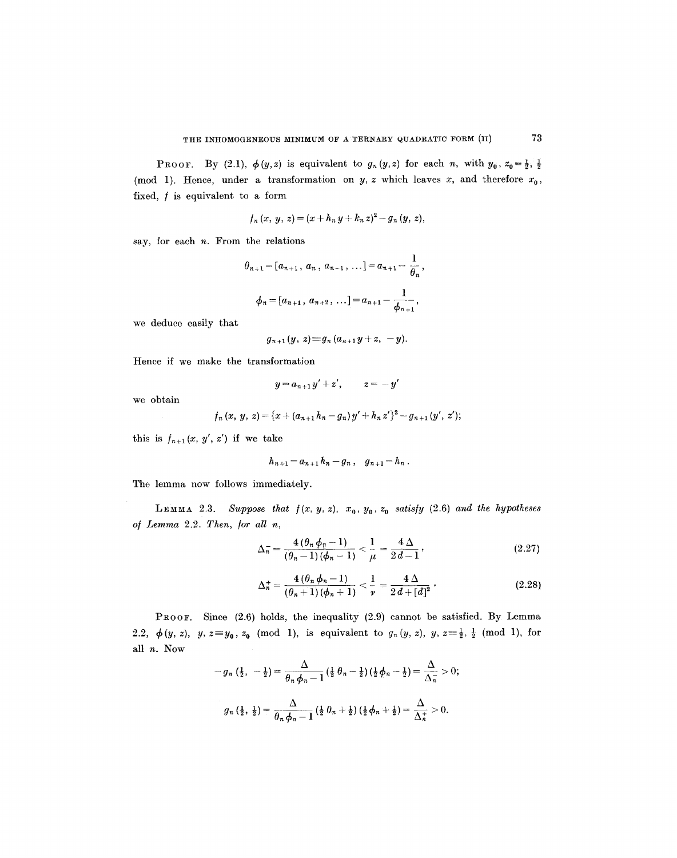**PROOF.** By (2.1),  $\phi(y, z)$  is equivalent to  $g_n(y, z)$  for each n, with  $y_0, z_0 = \frac{1}{2}, \frac{1}{2}$ (mod 1). Hence, under a transformation on  $y, z$  which leaves  $x$ , and therefore  $x_0$ , fixed,  $f$  is equivalent to a form

$$
f_n(x, y, z) = (x + h_n y + k_n z)^2 - g_n (y, z),
$$

say, for each  $n$ . From the relations

$$
\theta_{n+1} = [a_{n+1}, a_n, a_{n-1}, \dots] = a_{n+1} - \frac{1}{\theta_n},
$$
  

$$
\phi_n = [a_{n+1}, a_{n+2}, \dots] = a_{n+1} - \frac{1}{\phi_{n+1}},
$$

we deduce easily that

$$
g_{n+1}(y, z) \equiv g_n(a_{n+1}y + z, -y).
$$

Hence if we make the transformation

$$
y = a_{n+1}y' + z', \qquad z = -y'
$$

we obtain

$$
f_n(x, y, z) = \{x + (a_{n+1}h_n - g_n)y' + h_n z'\}^2 - g_{n+1}(y', z');
$$

this is  $f_{n+1}(x, y', z')$  if we take

$$
h_{n+1}=a_{n+1}h_n-g_n\ ,\quad g_{n+1}=h_n\ .
$$

The lemma now follows immediately.

LEMMA 2.3. *Suppose that*  $f(x, y, z)$ ,  $x_0$ ,  $y_0$ ,  $z_0$  satisfy (2.6) and the hypotheses *of Lemma* 2.2. *Then, /or all n,* 

$$
\Delta_n^- = \frac{4(\theta_n \phi_n - 1)}{(\theta_n - 1)(\phi_n - 1)} < \frac{1}{\mu} = \frac{4 \Delta}{2d - 1},\tag{2.27}
$$

$$
\Delta_n^+ = \frac{4 (\theta_n \phi_n - 1)}{(\theta_n + 1) (\phi_n + 1)} < \frac{1}{\nu} = \frac{4 \Delta}{2d + [d]^2}.
$$
 (2.28)

PROOF. Since (2.6) holds, the inequality (2.9) cannot be satisfied. By Lemma 2.2,  $\phi(y, z)$ ,  $y, z \equiv y_0, z_0 \pmod{1}$ , is equivalent to  $g_n(y, z)$ ,  $y, z \equiv \frac{1}{2}, \frac{1}{2} \pmod{1}$ , for all n. Now

$$
-g_n\left(\frac{1}{2}, -\frac{1}{2}\right) = \frac{\Delta}{\theta_n \phi_n - 1} \left(\frac{1}{2} \theta_n - \frac{1}{2}\right) \left(\frac{1}{2} \phi_n - \frac{1}{2}\right) = \frac{\Delta}{\Delta_n^-} > 0;
$$
  

$$
g_n\left(\frac{1}{2}, \frac{1}{2}\right) = \frac{\Delta}{\theta_n \phi_n - 1} \left(\frac{1}{2} \theta_n + \frac{1}{2}\right) \left(\frac{1}{2} \phi_n + \frac{1}{2}\right) = \frac{\Delta}{\Delta_n^+} > 0.
$$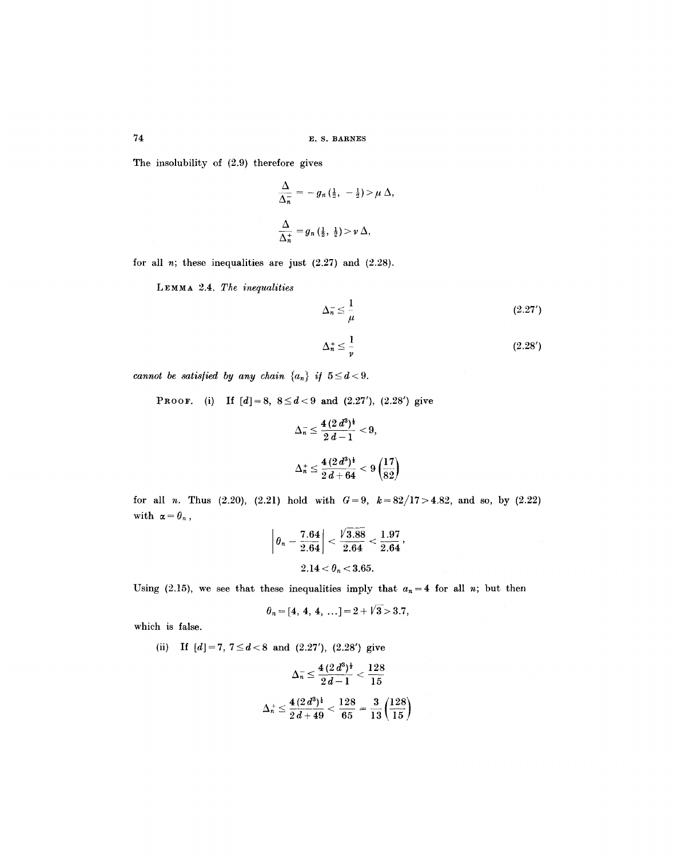The insolubility of (2.9) therefore gives

$$
\begin{aligned}\n\frac{\Delta}{\Delta_n^-} &= -g_n\left(\frac{1}{2}, -\frac{1}{2}\right) > \mu \Delta, \\
\frac{\Delta}{\Delta_n^+} &= g_n\left(\frac{1}{2}, \frac{1}{2}\right) > \nu \Delta,\n\end{aligned}
$$

for all  $n$ ; these inequalities are just  $(2.27)$  and  $(2.28)$ .

LEMMA 2.4. *The inequalities* 

$$
\Delta_n^- \le \frac{1}{\mu} \tag{2.27'}
$$

$$
\Delta_n^+ \le \frac{1}{\nu} \tag{2.28'}
$$

*cannot be satisfied by any chain*  $\{a_n\}$  *if*  $5 \le d < 9$ .

PROOF. (i) If  $[d]=8$ ,  $8 \le d < 9$  and  $(2.27')$ ,  $(2.28')$  give

$$
\Delta_n^- \le \frac{4(2\,d^3)^{\frac{1}{2}}}{2\,d-1} < 9,
$$
\n
$$
\Delta_n^+ \le \frac{4(2\,d^3)^{\frac{1}{2}}}{2\,d+64} < 9\left(\frac{17}{82}\right)
$$

for all *n*. Thus  $(2.20)$ ,  $(2.21)$  hold with  $G=9$ ,  $k=82/17>4.82$ , and so, by  $(2.22)$ with  $\alpha = \theta_n$ ,

$$
\left|\theta_n - \frac{7.64}{2.64}\right| < \frac{\sqrt{3.88}}{2.64} < \frac{1.97}{2.64},
$$
\n
$$
2.14 < \theta_n < 3.65.
$$

Using (2.15), we see that these inequalities imply that  $a_n = 4$  for all n; but then

$$
\theta_n = [4, 4, 4, \ldots] = 2 + \sqrt{3} > 3.7,
$$

which is false.

(ii) If  $[d]=7, 7 \le d < 8$  and  $(2.27')$ ,  $(2.28')$  give

$$
\Delta_n^- \le \frac{4 \, (2 \, d^3)^{\frac{1}{2}}}{2 \, d-1} < \frac{128}{15}
$$
\n
$$
\Delta_n^+ \le \frac{4 \, (2 \, d^3)^{\frac{1}{4}}}{2 \, d+49} < \frac{128}{65} = \frac{3}{13} \left(\frac{128}{15}\right)
$$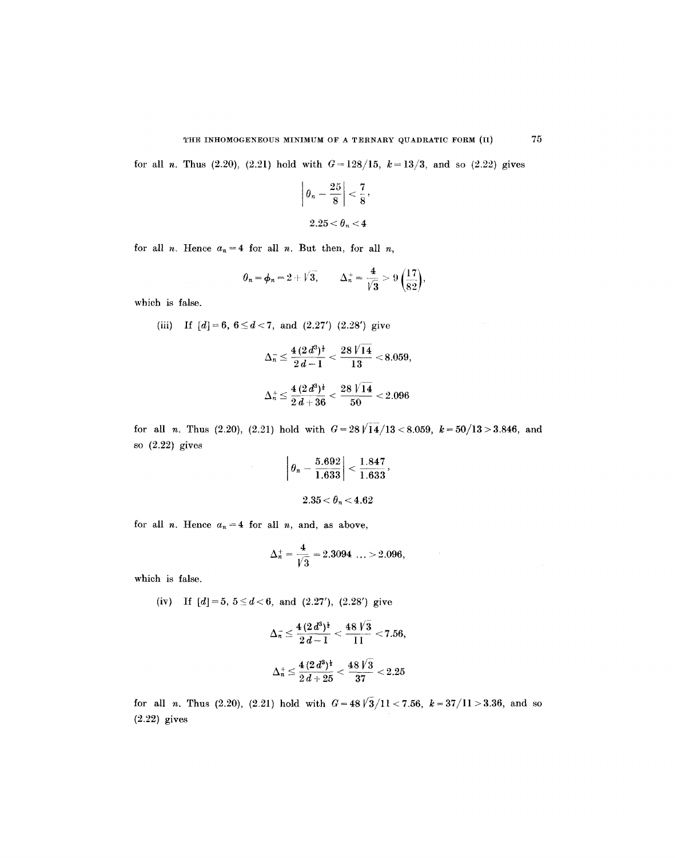for all *n*. Thus (2.20), (2.21) hold with  $G = 128/15$ ,  $k = 13/3$ , and so (2.22) gives

$$
\left|\theta_n - \frac{25}{8}\right| < \frac{7}{8},
$$
\n
$$
2.25 < \theta_n < 4
$$

for all *n*. Hence  $a_n = 4$  for all *n*. But then, for all *n*,

$$
\theta_n = \phi_n = 2 + \sqrt{3},
$$
\n $\Delta_n^+ = \frac{4}{\sqrt{3}} > 9\left(\frac{17}{82}\right),$ 

which is false.

(iii) If 
$$
[d] = 6, 6 \le d < 7
$$
, and  $(2.27')$   $(2.28')$  give

$$
\Delta_n^- \leq \frac{4 \, (2 \, d^3)^{\frac{1}{4}}}{2 \, d-1} < \frac{28 \, \sqrt[1]{14}}{13} < 8.059, \\[.5em] \Delta_n^+ \leq \frac{4 \, (2 \, d^3)^{\frac{1}{4}}}{2 \, d+36} < \frac{28 \, \sqrt[1]{14}}{50} < 2.096
$$

for all *n*. Thus (2.20), (2.21) hold with  $G=28\sqrt{14}/13<8.059$ ,  $k=50/13>3.846$ , and so (2.22) gives

$$
\left|\,\theta_n-\frac{5.692}{1.633}\right|<\frac{1.847}{1.633},\\2.35<\theta_n<4.62
$$

for all *n*. Hence  $a_n = 4$  for all *n*, and, as above,

$$
\Delta_n^+ = \frac{4}{\sqrt{3}} = 2.3094 \dots > 2.096,
$$

which is false.

(iv) If  $[d]=5, 5 \le d < 6$ , and  $(2.27')$ ,  $(2.28')$  give

$$
\Delta_{\vec{n}} \le \frac{4(2d^3)^{\frac{1}{4}}}{2d-1} < \frac{48\sqrt{3}}{11} < 7.56,
$$
  

$$
4(2d^3)^{\frac{1}{2}} - 48\sqrt{3}
$$

$$
\Delta_n^+ \le \frac{4\,(2\,d^3)^{\frac{1}{2}}}{2\,d+25} < \frac{48\,V3}{37} < 2.25
$$

for all *n*. Thus (2.20), (2.21) hold with  $G=48\sqrt{3}/11 < 7.56$ ,  $k=37/11 > 3.36$ , and so (2.22) gives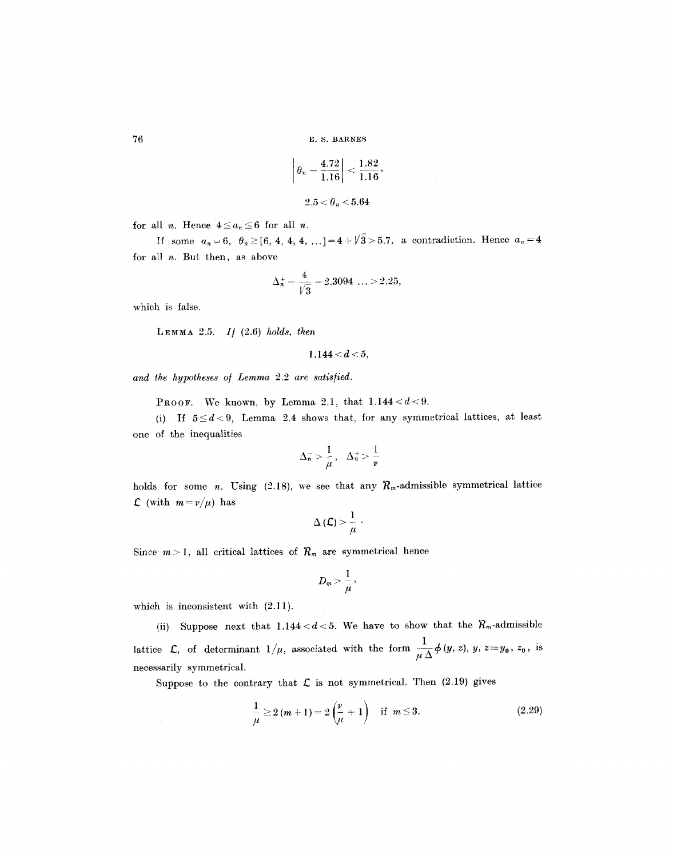76 E.S. BARNES

$$
\left|\theta_n - \frac{4.72}{1.16}\right| < \frac{1.82}{1.16},
$$
\n
$$
2.5 < \theta_n < 5.64
$$

for all *n*. Hence  $4 \le a_n \le 6$  for all *n*.

If some  $a_n = 6$ ,  $\theta_n \geq [6, 4, 4, 4, ...)$  = 4 +  $\sqrt{3} > 5.7$ , a contradiction. Hence  $a_n = 4$ for all  $n$ . But then, as above

$$
\Delta_n^+ = \frac{4}{\sqrt{3}} = 2.3094\ \ldots \ge 2.25,
$$

which is false.

LEMMA 2.5. If 
$$
(2.6)
$$
 holds, then

$$
1.144 < d < 5,
$$

*and the hypotheses o/ Lemma* 2.2 *are satis/ied.* 

PROOF. We known, by Lemma 2.1, that  $1.144 < d < 9$ .

(i) If  $5 \le d < 9$ , Lemma 2.4 shows that, for any symmetrical lattices, at least one of the inequalities

$$
\Delta_n^- > \frac{1}{\mu}, \quad \Delta_n^+ > \frac{1}{\nu}
$$

holds for some n. Using (2.18), we see that any  $R_m$ -admissible symmetrical lattice  $\mathcal{L}$  (with  $m=v/\mu$ ) has

$$
\Delta\left(\mathcal{L}\right) > \frac{1}{\mu} \cdot
$$

Since  $m > 1$ , all critical lattices of  $R_m$  are symmetrical hence

$$
D_m > \frac{1}{\mu},
$$

which is inconsistent with  $(2.11)$ .

(ii) Suppose next that  $1.144 < d < 5$ . We have to show that the  $R_m$ -admissible lattice  $\mathcal{L}$ , of determinant  $1/\mu$ , associated with the form  $\frac{1}{\mu\Delta}\phi(y, z)$ ,  $y, z=y_0, z_0$ , is necessarily symmetrical.

Suppose to the contrary that  $\mathcal L$  is not symmetrical. Then (2.19) gives

$$
\frac{1}{\mu} \ge 2(m+1) = 2\left(\frac{\nu}{\mu} + 1\right) \quad \text{if} \quad m \le 3. \tag{2.29}
$$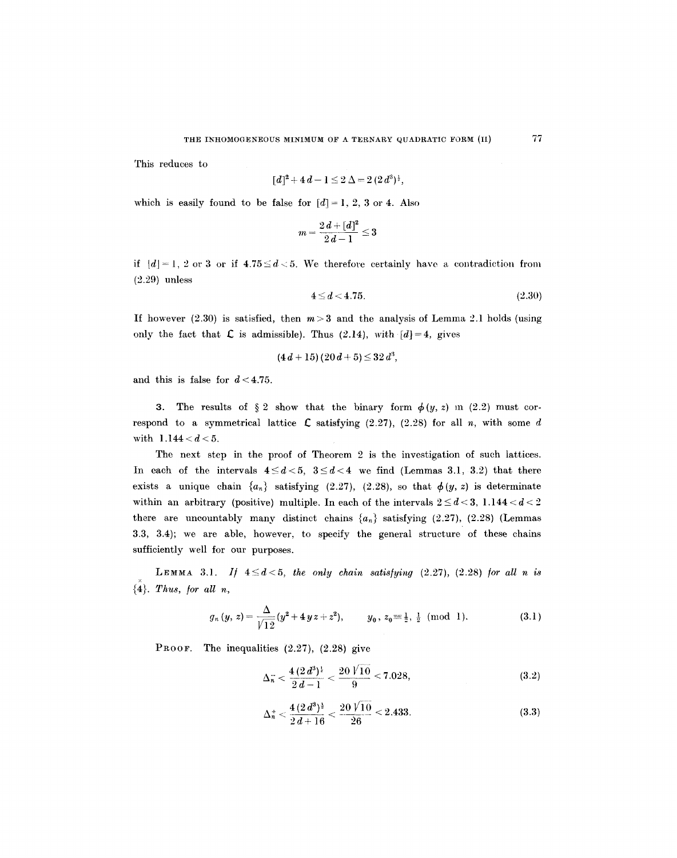This reduces to

$$
[d]^2 + 4d - 1 \leq 2 \Delta = 2 (2d^3)^{\frac{1}{2}},
$$

which is easily found to be false for  $[d] = 1, 2, 3$  or 4. Also

$$
m=\frac{2\,d+[d]^2}{2\,d-1}\leq 3
$$

if  $[d] = 1, 2$  or 3 or if  $4.75 \le d < 5$ . We therefore certainly have a contradiction from (2.29) unless

$$
4 \le d < 4.75. \tag{2.30}
$$

If however (2.30) is satisfied, then  $m>3$  and the analysis of Lemma 2.1 holds (using only the fact that  $\mathcal L$  is admissible). Thus (2.14), with  $[d]=4$ , gives

$$
(4 d + 15) (20 d + 5) \leq 32 d^3,
$$

and this is false for  $d < 4.75$ .

3. The results of  $\S 2$  show that the binary form  $\phi(y, z)$  in (2.2) must correspond to a symmetrical lattice  $\mathcal{L}$  satisfying (2.27), (2.28) for all n, with some d with  $1.144 < d < 5$ .

The next step in the proof of Theorem 2 is the investigation of such lattices. In each of the intervals  $4 \leq d < 5$ ,  $3 \leq d < 4$  we find (Lemmas 3.1, 3.2) that there exists a unique chain  $\{a_n\}$  satisfying (2.27), (2.28), so that  $\phi(y, z)$  is determinate within an arbitrary (positive) multiple. In each of the intervals  $2 \le d < 3$ , 1.144  $d < d < 2$ there are uncountably many distinct chains  $\{a_n\}$  satisfying (2.27), (2.28) (Lemmas 3.3, 3.4); we are able, however, to specify the general structure of these chains sufficiently well for our purposes.

LEMMA 3.1. If  $4 \leq d < 5$ , the only chain satisfying  $(2.27)$ ,  $(2.28)$  for all n is  ${4}$ . *Thus, for all n,* 

$$
g_n(y, z) = \frac{\Delta}{\sqrt{12}} (y^2 + 4 y z + z^2), \qquad y_0, z_0 \equiv \frac{1}{2}, \frac{1}{2} \pmod{1}.
$$
 (3.1)

PROOF. The inequalities  $(2.27)$ ,  $(2.28)$  give

$$
\Delta_n^- < \frac{4(2\,d^3)^{\frac{1}{2}}}{2\,d-1} < \frac{20\,\sqrt{10}}{9} < 7.028,\tag{3.2}
$$

$$
\Delta_n^+ < \frac{4(2\,d^3)^{\frac{1}{2}}}{2\,d+16} < \frac{20\,\sqrt{10}}{26} < 2.433. \tag{3.3}
$$

77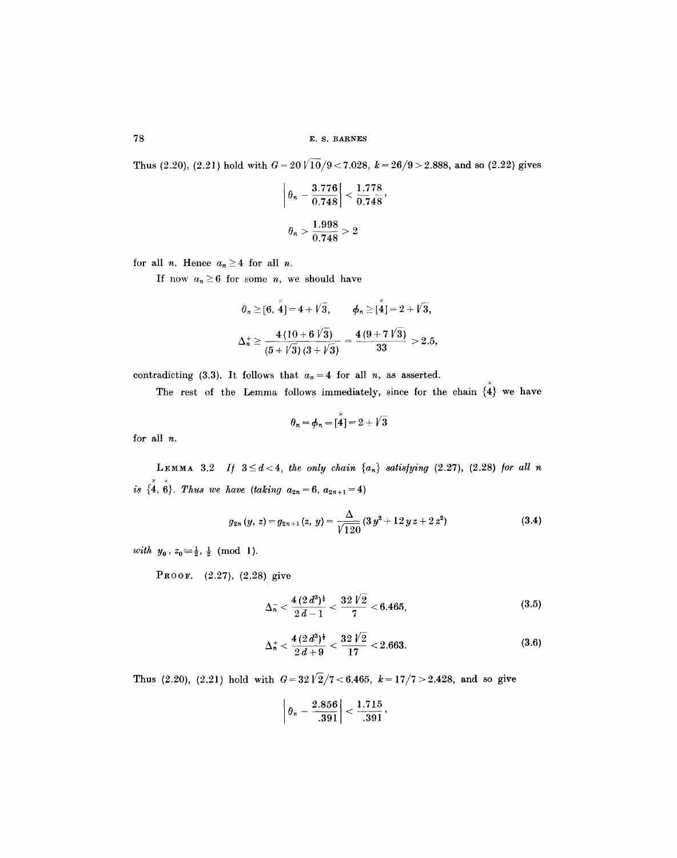Thus (2.20), (2.21) hold with  $G = 20\sqrt{10}/9 < 7.028$ ,  $k = 26/9 > 2.888$ , and so (2.22) gives

$$
\left|\theta_n - \frac{3.776}{0.748}\right| < \frac{1.778}{0.748},
$$
\n
$$
\theta_n > \frac{1.998}{0.748} > 2
$$

for all *n*. Hence  $a_n \geq 4$  for all *n*.

If now  $a_n \geq 6$  for some *n*, we should have

$$
\theta_n \geq [6, \stackrel{x}{4}] = 4 + \sqrt{3}, \qquad \phi_n \geq [\stackrel{x}{4}] = 2 + \sqrt{3},
$$
  

$$
\Delta_n^{\div} \geq \frac{4(10 + 6\sqrt{3})}{(5 + \sqrt{3})(3 + \sqrt{3})} = \frac{4(9 + 7\sqrt{3})}{33} > 2.5,
$$

contradicting (3.3). It follows that  $a_n = 4$  for all *n*, as asserted.

The rest of the Lemma follows immediately, since for the chain  $\tilde{\{4\}}$  we have

$$
\theta_n = \phi_n = [\overset{\scriptscriptstyle{\times}}{\mathbf{4}}] = 2 + \sqrt{3}
$$

for all n.

LEMMA 3.2 *If*  $3 \le d < 4$ , the only chain  $\{a_n\}$  satisfying (2.27), (2.28) for all n *is*  $\{ \stackrel{\times}{4}, \stackrel{\times}{6} \}$ . *Thus we have (taking*  $a_{2n}=6$ *,*  $a_{2n+1}=4$ *)* 

$$
g_{2n}(y, z) = g_{2n+1}(z, y) = \frac{\Delta}{\sqrt{120}} (3 y^2 + 12 y z + 2 z^2)
$$
 (3.4)

*with*  $y_0$ ,  $z_0 \equiv \frac{1}{2}$ ,  $\frac{1}{2}$  (mod 1).

PROOF. (2.27), (2.28) give

$$
\Delta_n^- < \frac{4(2d^3)^{\frac{1}{2}}}{2d-1} < \frac{32\sqrt{2}}{7} < 6.465,\tag{3.5}
$$

$$
\Delta_n^+ < \frac{4(2\,d^3)^{\frac{1}{2}}}{2\,d+9} < \frac{32\,\sqrt{\,2}}{17} < 2.663. \tag{3.6}
$$

Thus (2.20), (2.21) hold with  $G = 32\sqrt{2}/7 < 6.465$ ,  $k = 17/7 > 2.428$ , and so give

$$
\left|\theta_n-\frac{2.856}{.391}\right|<\frac{1.715}{.391},
$$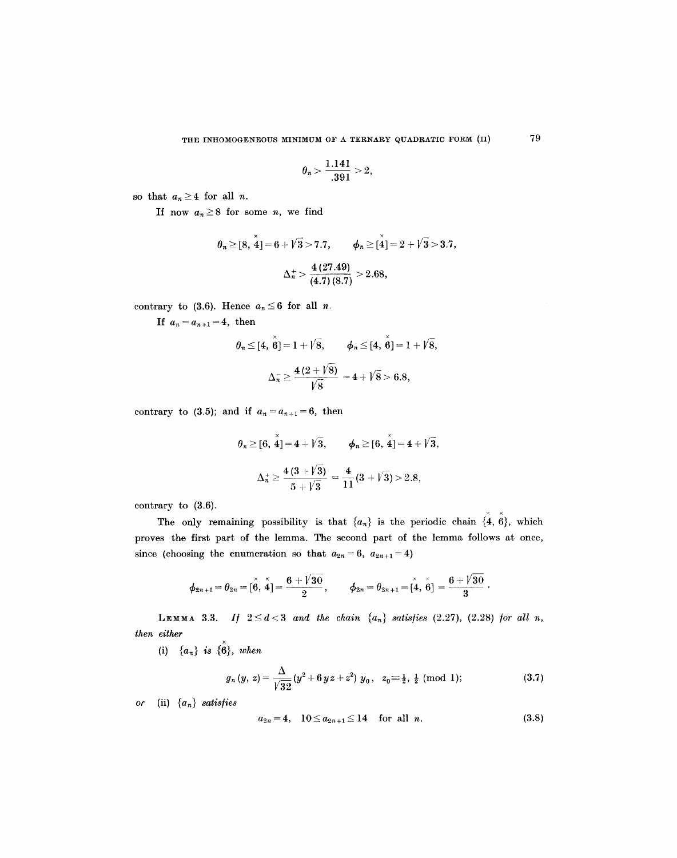$$
\theta_n > \frac{1.141}{.391} > 2,
$$

so that  $a_n \geq 4$  for all *n*.

If now  $a_n \geq 8$  for some *n*, we find

$$
\theta_n \geq [8, 4] = 6 + \sqrt{3} > 7.7,
$$
  $\phi_n \geq [4] = 2 + \sqrt{3} > 3.7,$   
 $\Delta_n^+ > \frac{4 (27.49)}{(4.7) (8.7)} > 2.68,$ 

contrary to (3.6). Hence  $a_n \leq 6$  for all *n*.

If  $a_n=a_{n+1}=4$ , then

$$
\theta_n \leq [4, \stackrel{\times}{6}] = 1 + \sqrt{8}, \qquad \phi_n \leq [4, \stackrel{\times}{6}] = 1 + \sqrt{8},
$$
  

$$
\Delta_n^- \geq \frac{4(2 + \sqrt{8})}{\sqrt{8}} = 4 + \sqrt{8} > 6.8,
$$

contrary to (3.5); and if  $a_n = a_{n+1} = 6$ , then

$$
\theta_n \geq [6, 4] = 4 + \sqrt{3},
$$
  $\phi_n \geq [6, 4] = 4 + \sqrt{3},$   

$$
\Delta_n^+ \geq \frac{4(3 + \sqrt{3})}{5 + \sqrt{3}} = \frac{4}{11}(3 + \sqrt{3}) > 2.8,
$$

contrary to (3.6).

 $\times$   $\times$ The only remaining possibility is that  $\{a_n\}$  is the periodic chain  $\{4, 6\}$ , which proves the first part of the lemma. The second part of the lemma follows at once, since (choosing the enumeration so that  $a_{2n}=6$ ,  $a_{2n+1}=4$ )

$$
\phi_{2n+1}=\theta_{2n}=[\stackrel{\times}{6},\stackrel{\times}{4}]=\frac{6+\sqrt{30}}{2},\qquad \phi_{2n}=\theta_{2n+1}=[\stackrel{\times}{4},\stackrel{\times}{6}]=\frac{6+\sqrt{30}}{3}.
$$

**LEMMA** 3.3. If  $2 \leq d < 3$  and the chain  $\{a_n\}$  satisfies  $(2.27)$ ,  $(2.28)$  for all n, *then either* 

(i)  $\{a_n\}$  *is*  $\{ \stackrel{\times}{\mathbf{6}} \}$ , *when* 

$$
g_n(y, z) = \frac{\Delta}{\sqrt{32}} (y^2 + 6 y z + z^2) y_0, \quad z_0 = \frac{1}{2}, \frac{1}{2} \pmod{1};
$$
 (3.7)

*or* (ii) {an} *satis/ies* 

$$
a_{2n} = 4, \quad 10 \le a_{2n+1} \le 14 \quad \text{for all } n. \tag{3.8}
$$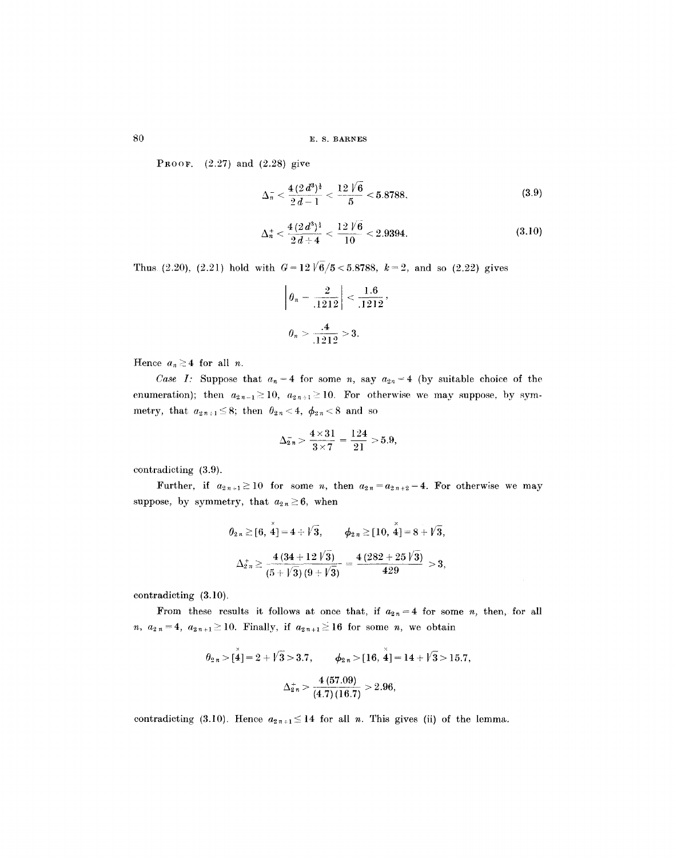80 E. S. BARNES

**PROOF.**  $(2.27)$  and  $(2.28)$  give

$$
\Delta_n^- < \frac{4(2\,d^3)^{\frac{1}{2}}}{2\,d-1} < \frac{12\,\sqrt{6}}{5} < 5.8788,\tag{3.9}
$$

$$
\Delta_n^+ < \frac{4(2d^3)^{\frac{1}{4}}}{2d+4} < \frac{12\sqrt{6}}{10} < 2.9394.
$$
 (3.10)

Thus (2.20), (2.21) hold with  $G=12\sqrt{6}/5 < 5.8788$ ,  $k=2$ , and so (2.22) gives

$$
\left| \theta_n - \frac{2}{.1212} \right| < \frac{1.6}{.1212},
$$
\n
$$
\theta_n > \frac{.4}{.1212} > 3.
$$

Hence  $a_n \geq 4$  for all *n*.

*Case I:* Suppose that  $a_n = 4$  for some n, say  $a_{2n} = 4$  (by suitable choice of the enumeration); then  $a_{2n-1} \ge 10$ ,  $a_{2n+1} \ge 10$ . For otherwise we may suppose, by symmetry, that  $a_{2n+1} \leq 8$ ; then  $\theta_{2n} < 4$ ,  $\phi_{2n} < 8$  and so

$$
\Delta_{2n}^-=\frac{4\times 31}{3\times 7}=\frac{124}{21}>5.9,
$$

contradicting (3.9).

Further, if  $a_{2n+1} \ge 10$  for some n, then  $a_{2n} = a_{2n+2} = 4$ . For otherwise we may suppose, by symmetry, that  $a_{2n} \geq 6$ , when

$$
\theta_{2n} \geq [6, \stackrel{x}{4}] = 4 + \sqrt{3}, \qquad \phi_{2n} \geq [10, \stackrel{x}{4}] = 8 + \sqrt{3},
$$
  

$$
\Delta_{2n}^+ \geq \frac{4(34 + 12 \sqrt{3})}{(5 + \sqrt{3})(9 + \sqrt{3})} = \frac{4(282 + 25 \sqrt{3})}{429} > 3,
$$

contradicting (3.10).

From these results it follows at once that, if  $a_{2n}=4$  for some n, then, for all n,  $a_{2n}=4$ ,  $a_{2n+1}\geq 10$ . Finally, if  $a_{2n+1}\geq 16$  for some n, we obtain

$$
\theta_{2n} > [\stackrel{\stackrel{\circ}{4}}{4}] = 2 + \sqrt{3} > 3.7, \qquad \phi_{2n} > [16, \stackrel{\stackrel{\circ}{4}}{4}] = 14 + \sqrt{3} > 15.7,
$$

$$
\Delta_{2n}^+ > \frac{4 (57.09)}{(4.7)(16.7)} > 2.96,
$$

contradicting (3.10). Hence  $a_{2n+1} \leq 14$  for all n. This gives (ii) of the lemma.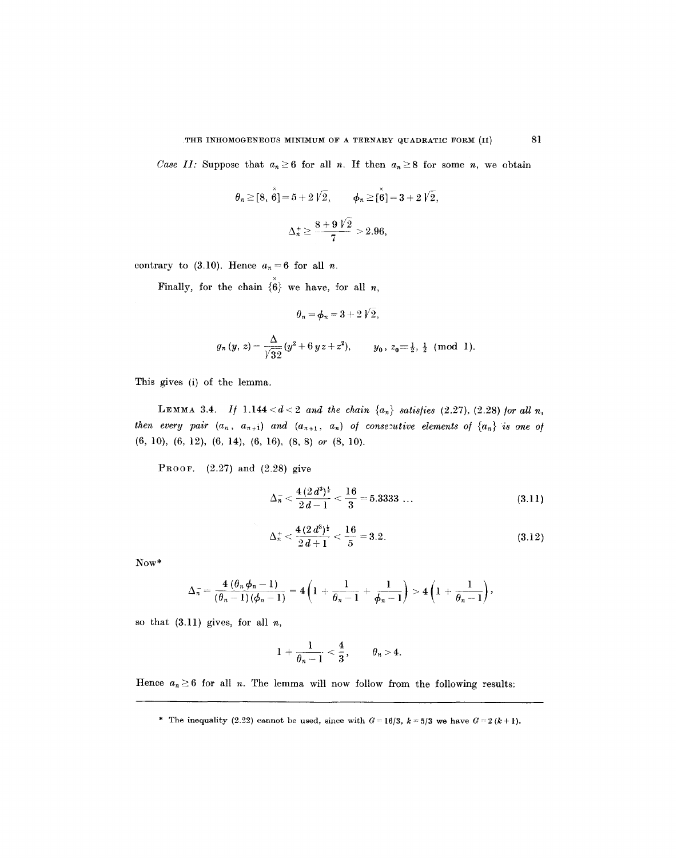*Case II:* Suppose that  $a_n \geq 6$  for all n. If then  $a_n \geq 8$  for some n, we obtain

$$
\theta_n \geq [8, \stackrel{\times}{6}]= 5 + 2\sqrt{2}, \qquad \phi_n \geq [\stackrel{\times}{6}]= 3 + 2\sqrt{2},
$$
  

$$
\Delta_n^+ \geq \frac{8 + 9\sqrt{2}}{7} > 2.96,
$$

contrary to (3.10). Hence  $a_n=6$  for all n.

Finally, for the chain  $\{ \overset{\check\circ}{\mathbf{6}} \}$  we have, for all n,

$$
{\theta}_n\,{=}\,\boldsymbol{\phi}_n\,{=}\,3\,{+}\,2\,{\mathit{V}}\,2\,,
$$

$$
g_n(y, z) = \frac{\Delta}{\sqrt{32}} (y^2 + 6 y z + z^2), \qquad y_0, z_0 = \frac{1}{2}, \frac{1}{2} \pmod{1}.
$$

This gives (i) of the lemma.

LEMMA 3.4. *If*  $1.144 < d < 2$  *and the chain*  $\{a_n\}$  *satisfies* (2.27), (2.28) for all n, *then every pair*  $(a_n, a_{n+1})$  *and*  $(a_{n+1}, a_n)$  *of consecutive elements of*  $\{a_n\}$  *is one of* (6, 10), (6, 12), (6, 14), (6, 16), (8, 8) *or* (8, 10).

**PROOF.**  $(2.27)$  and  $(2.28)$  give

$$
\Delta_n^- < \frac{4(2\,d^3)^{\frac{1}{2}}}{2\,d-1} < \frac{16}{3} = 5.3333\,\ldots\tag{3.11}
$$

$$
\Delta_n^+ < \frac{4(2 d^3)^{\frac{1}{2}}}{2 d + 1} < \frac{16}{5} = 3.2. \tag{3.12}
$$

Now\*

$$
\Delta_n^{-}=\frac{4(\theta_n\phi_n-1)}{(\theta_n-1)(\phi_n-1)}=4\left(1+\frac{1}{\theta_n-1}+\frac{1}{\phi_n-1}\right)>4\left(1+\frac{1}{\theta_n-1}\right),
$$

so that  $(3.11)$  gives, for all  $n$ ,

$$
1+\frac{1}{\theta_n-1}<\frac{4}{3},\qquad \theta_n>4.
$$

Hence  $a_n \geq 6$  for all *n*. The lemma will now follow from the following results:

<sup>\*</sup> The inequality (2.22) cannot be used, since with  $G = 16/3$ ,  $k = 5/3$  we have  $G = 2 (k + 1)$ .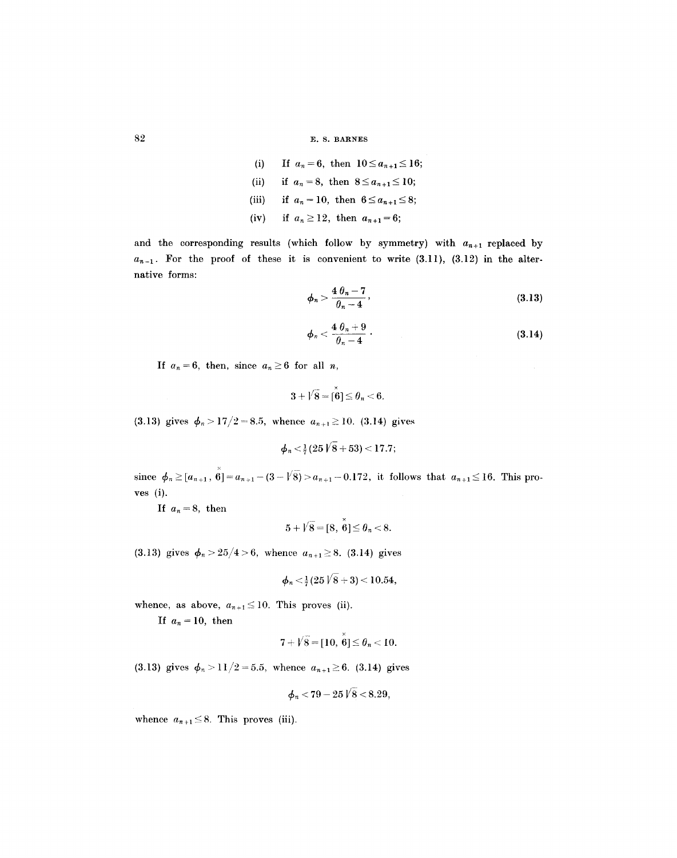82 E.S. BARNES

(i) If 
$$
a_n = 6
$$
, then  $10 \le a_{n+1} \le 16$ ;  
\n(ii) if  $a_n = 8$ , then  $8 \le a_{n+1} \le 10$ ;  
\n(iii) if  $a_n = 10$ , then  $6 \le a_{n+1} \le 8$ ;  
\n(iv) if  $a_n \ge 12$ , then  $a_{n+1} = 6$ ;

and the corresponding results (which follow by symmetry) with  $a_{n+1}$  replaced by  $a_{n-1}$ . For the proof of these it is convenient to write  $(3.11)$ ,  $(3.12)$  in the alternative forms:

$$
\phi_n > \frac{4\,\theta_n - 7}{\theta_n - 4},\tag{3.13}
$$

$$
\phi_n < \frac{4\theta_n + 9}{\theta_n - 4} \tag{3.14}
$$

If  $a_n=6$ , then, since  $a_n\geq 6$  for all n,

$$
3+\sqrt{8}=[\overset{\times}{6}] \leq \theta_n < 6.
$$

(3.13) gives  $\phi_n > 17/2 = 8.5$ , whence  $a_{n+1} \ge 10$ . (3.14) gives

$$
\phi_n < \frac{1}{7}(25\sqrt{8} + 53) < 17.7;
$$

 $\times$ since  $\phi_n \geq [a_{n+1}, 6] = a_{n+1} - (3 - \sqrt{8}) > a_{n+1} - 0.172$ , it follows that  $a_{n+1} \leq 16$ . This proves (i).

If  $a_n=8$ , then

$$
5+\sqrt{8}=[8,\stackrel{\scriptscriptstyle \times}{6}]\leq\theta_n<8.
$$

(3.13) gives  $\phi_n > 25/4 > 6$ , whence  $a_{n+1} \geq 8$ . (3.14) gives

$$
\phi_n\!<\!\tfrac{1}{7}(25\mathop{V}8+3)\!<\!10.54,
$$

whence, as above,  $a_{n+1} \leq 10$ . This proves (ii).

If  $a_n = 10$ , then

$$
7+\sqrt{8}=[10,\ \overset{\times}{6}]\leq \theta_n<10.
$$

(3.13) gives  $\phi_n > 11/2 = 5.5$ , whence  $a_{n+1} \ge 6$ . (3.14) gives

$$
\phi_n
$$
 < 79 - 25  $\sqrt{8}$  < 8.29,

whence  $a_{n+1} \leq 8$ . This proves (iii).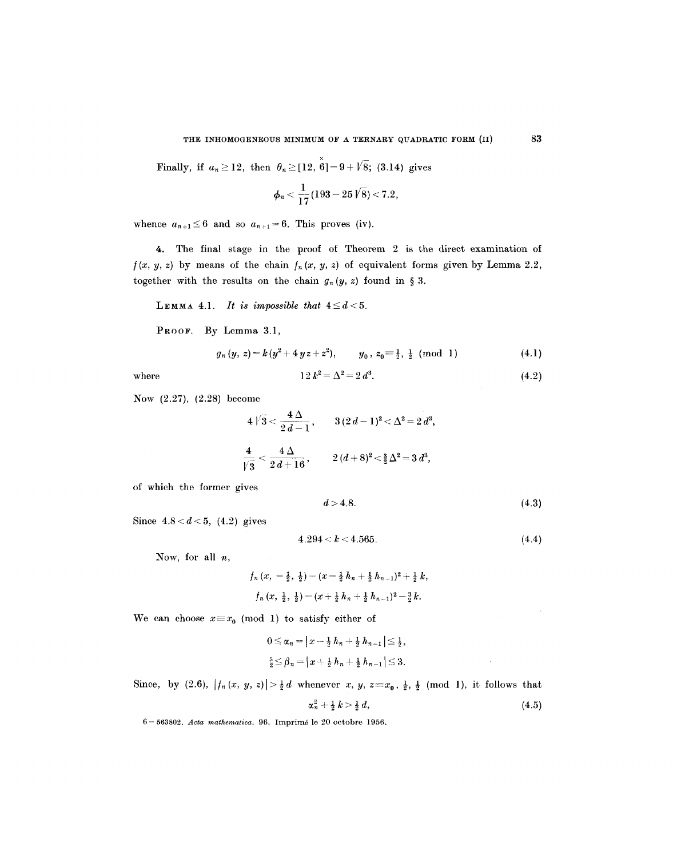• Finally, if  $a_n \ge 12$ , then  $\theta_n \ge 12$ ,  $6=9+18$ ; (3.14) gives

$$
\phi_n<\frac{1}{17}(193-25\,\sqrt{8})<7.2,
$$

whence  $a_{n+1} \leq 6$  and so  $a_{n+1} = 6$ . This proves (iv).

4. The final stage in the proof of Theorem 2 is the direct examination of  $f(x, y, z)$  by means of the chain  $f_n(x, y, z)$  of equivalent forms given by Lemma 2.2, together with the results on the chain  $g_n(y, z)$  found in § 3.

LEMMA 4.1. *It is impossible that*  $4 \leq d < 5$ .

PROOF. By Lemma 3.1,

$$
g_n(y, z) = k(y^2 + 4yz + z^2), \qquad y_0, z_0 \equiv \frac{1}{2}, \frac{1}{2} \pmod{1} \tag{4.1}
$$

where 
$$
12 k^2 = \Delta^2 = 2 d^3
$$
. (4.2)

Now (2.27), (2.28) become

$$
4\sqrt{3} < \frac{4\,\Delta}{2\,d-1}, \qquad 3\,(2\,d-1)^2 < \Delta^2 = 2\,d^3,
$$
  

$$
\frac{4}{\sqrt{3}} < \frac{4\,\Delta}{2\,d+16}, \qquad 2\,(d+8)^2 < \frac{3}{2}\,\Delta^2 = 3\,d^3,
$$

of which the former gives

$$
d > 4.8.\t\t(4.3)
$$

Since  $4.8 < d < 5$ ,  $(4.2)$  gives

$$
4.294 < k < 4.565. \tag{4.4}
$$

Now, for all  $n$ ,

$$
f_n(x, -\frac{1}{2}, \frac{1}{2}) = (x - \frac{1}{2}h_n + \frac{1}{2}h_{n-1})^2 + \frac{1}{2}k,
$$
  

$$
f_n(x, \frac{1}{2}, \frac{1}{2}) = (x + \frac{1}{2}h_n + \frac{1}{2}h_{n-1})^2 - \frac{3}{2}k.
$$

We can choose  $x \equiv x_0 \pmod{1}$  to satisfy either of

$$
0 \leq \alpha_n = |x - \frac{1}{2} h_n + \frac{1}{2} h_{n-1}| \leq \frac{1}{2},
$$
  

$$
\frac{5}{2} \leq \beta_n = |x + \frac{1}{2} h_n + \frac{1}{2} h_{n-1}| \leq 3.
$$

Since, by (2.6),  $|f_n(x, y, z)| > \frac{1}{2}d$  whenever  $x, y, z \equiv x_0, \frac{1}{2}, \frac{1}{2} \pmod{1}$ , it follows that

$$
\alpha_n^2 + \frac{1}{2} k > \frac{1}{2} d, \tag{4.5}
$$

6- 563802. *Acta mathematica.* 96. Imprim6 le 20 octobre 1956.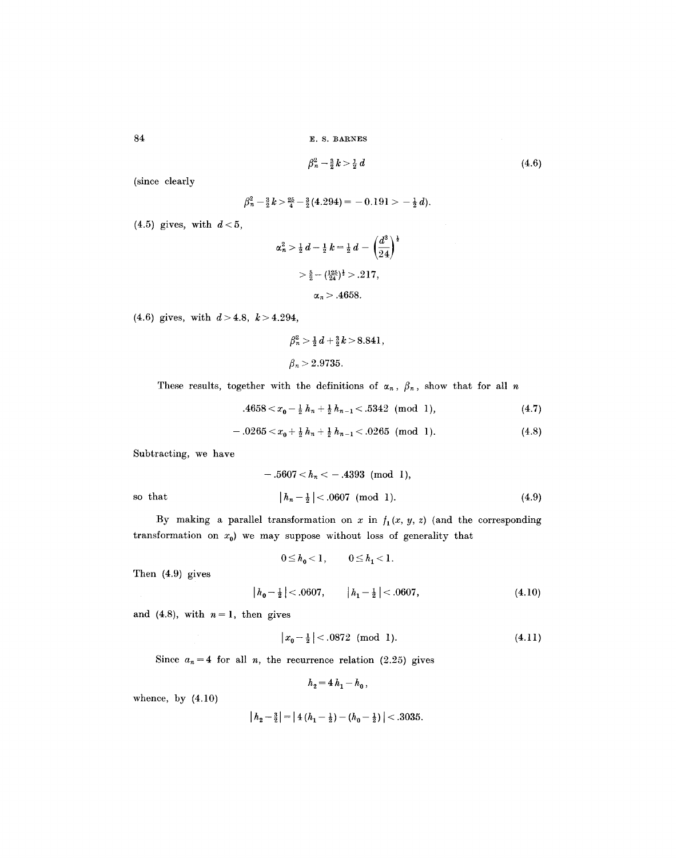E. S. BARNES

$$
\beta_n^2 - \frac{3}{2}k > \frac{1}{2}d\tag{4.6}
$$

(since clearly

 $\beta_n^2 - \frac{3}{2}k > \frac{25}{4} - \frac{3}{2}(4.294) = -0.191 > -\frac{1}{2}d$ .

 $(4.5)$  gives, with  $d < 5$ ,

$$
\alpha_n^2 > \frac{1}{2} \, d - \frac{1}{2} \, k = \frac{1}{2} \, d - \left(\frac{d^3}{24}\right)^{\frac{1}{2}}
$$
\n
$$
> \frac{5}{2} - \left(\frac{125}{24}\right)^{\frac{1}{2}} > .217,
$$
\n
$$
\alpha_n > .4658.
$$

(4.6) gives, with  $d > 4.8$ ,  $k > 4.294$ ,

$$
\beta_n^2 > \frac{1}{2} d + \frac{3}{2} k > 8.841,
$$
  

$$
\beta_n > 2.9735.
$$

These results, together with the definitions of  $\alpha_n$ ,  $\beta_n$ , show that for all n

.4658  $\langle x_0 - \frac{1}{2} h_n + \frac{1}{2} h_{n-1} \langle .5342 \pmod{1},$  (4.7)

$$
-.0265 < x_0 + \frac{1}{2} h_n + \frac{1}{2} h_{n-1} < .0265 \pmod{1}.
$$
 (4.8)

Subtracting, we have

$$
-.5607 < h_n < - .4393 \pmod{1},
$$
  
so that  $|h_n - \frac{1}{2}| < .0607 \pmod{1}.$  (4.9)

By making a parallel transformation on x in  $f_1(x, y, z)$  (and the corresponding transformation on  $x_0$ ) we may suppose without loss of generality that

$$
0 \le h_0 < 1, \qquad 0 \le h_1 < 1.
$$

Then (4.9) gives

$$
|h_0 - \frac{1}{2}| < .0607, \qquad |h_1 - \frac{1}{2}| < .0607, \tag{4.10}
$$

and (4.8), with  $n=1$ , then gives

$$
|x_0 - \frac{1}{2}| < .0872 \pmod{1}.\tag{4.11}
$$

Since  $a_n = 4$  for all *n*, the recurrence relation (2.25) gives

$$
h_2 = 4 h_1 - h_0,
$$

whence, by  $(4.10)$ 

$$
\left| h_2 - \frac{3}{2} \right| = \left| 4\left( h_1 - \frac{1}{2} \right) - \left( h_0 - \frac{1}{2} \right) \right| < .3035.
$$

84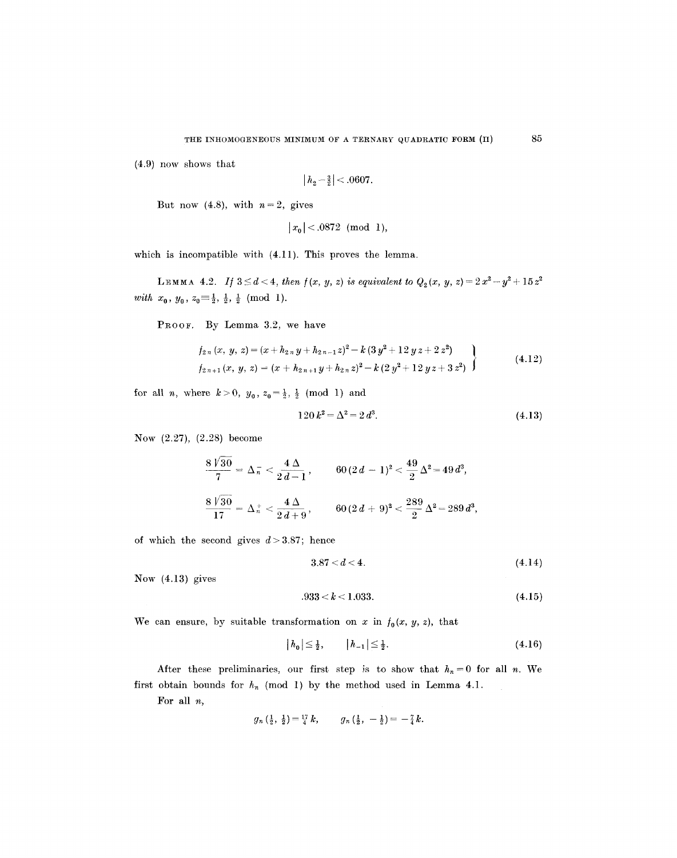(4.9) now shows that

$$
|h_2 - \frac{3}{2}| < .0607.
$$

But now (4.8), with  $n=2$ , gives

$$
|x_0| < .0872 \pmod{1},
$$

which is incompatible with (4.11). This proves the lemma.

LEMMA 4.2. *If*  $3 \le d < 4$ , *then*  $f(x, y, z)$  *is equivalent to*  $Q_2(x, y, z) = 2x^2 - y^2 + 15z^2$ *with*  $x_0$ ,  $y_0$ ,  $z_0 \equiv \frac{1}{2}$ ,  $\frac{1}{2}$ ,  $\frac{1}{2}$  (mod 1).

PROOF. By Lemma 3.2, we have

$$
f_{2n}(x, y, z) = (x + h_{2n}y + h_{2n-1}z)^2 - k(3y^2 + 12yz + 2z^2)
$$
  
\n
$$
f_{2n+1}(x, y, z) = (x + h_{2n+1}y + h_{2n}z)^2 - k(2y^2 + 12yz + 3z^2)
$$
\n(4.12)

for all *n*, where  $k > 0$ ,  $y_0$ ,  $z_0 = \frac{1}{2}$ ,  $\frac{1}{2}$  (mod 1) and

$$
120 k^2 = \Delta^2 = 2 d^3. \tag{4.13}
$$

Now (2.27), (2.28) become

$$
\frac{8\sqrt{30}}{7} = \Delta_{\overline{n}} < \frac{4\,\Delta}{2\,d-1} \,, \qquad 60\,(2\,d-1)^2 < \frac{49}{2}\,\Delta^2 = 49\,d^3, \\
\frac{8\,\sqrt{30}}{17} = \Delta_{\overline{n}}^+ < \frac{4\,\Delta}{2\,d+9} \,, \qquad 60\,(2\,d+9)^2 < \frac{289}{2}\,\Delta^2 = 289\,d^3,
$$

of which the second gives  $d > 3.87$ ; hence

$$
3.87 < d < 4. \tag{4.14}
$$

Now (4.13) gives

$$
.933 < k < 1.033. \tag{4.15}
$$

We can ensure, by suitable transformation on x in  $f_0(x, y, z)$ , that

$$
|h_0| \le \frac{1}{2}, \qquad |h_{-1}| \le \frac{1}{2}.\tag{4.16}
$$

After these preliminaries, our first step is to show that  $h_n = 0$  for all n. We first obtain bounds for  $h_n$  (mod 1) by the method used in Lemma 4.1.

For all  $n$ ,

$$
g_n\left(\frac{1}{2},\frac{1}{2}\right)=\frac{17}{4}k
$$
,  $g_n\left(\frac{1}{2},-\frac{1}{2}\right)=-\frac{7}{4}k$ .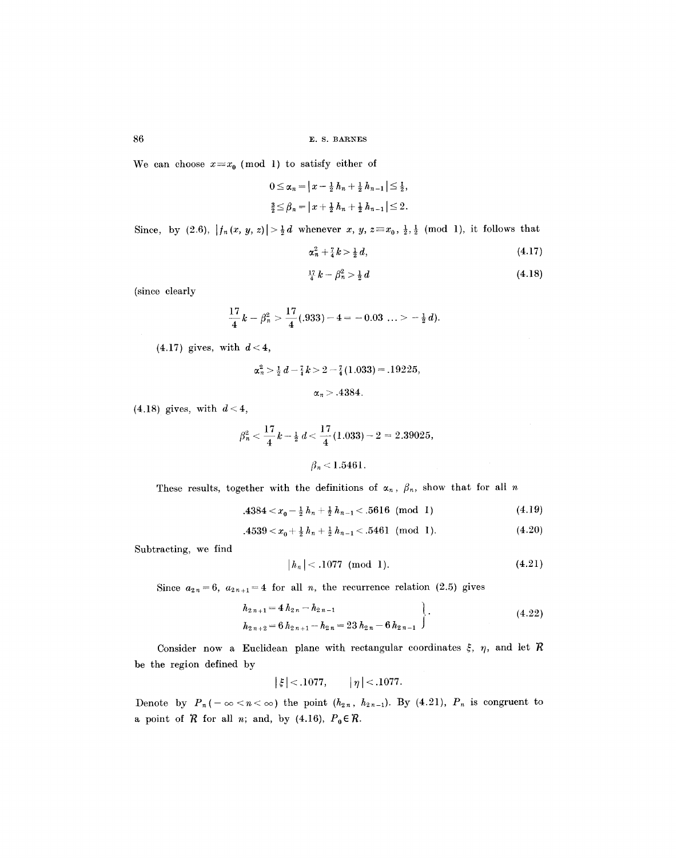We can choose  $x \equiv x_0 \pmod{1}$  to satisfy either of

 $0 \leq \alpha_n = |x - \frac{1}{2} h_n + \frac{1}{2} h_{n-1}| \leq \frac{1}{2},$  $\frac{3}{2} \leq \beta_n = |x + \frac{1}{2}h_n + \frac{1}{2}h_{n-1}| \leq 2.$ 

Since, by  $(2.6)$ ,  $|f_n(x, y, z)| > \frac{1}{2}d$  whenever x, y,  $z = x_0, \frac{1}{2}, \frac{1}{2}$  (mod 1), it follows that

$$
\alpha_n^2 + \frac{7}{4}k > \frac{1}{2}d,\tag{4.17}
$$

$$
\frac{17}{4}k - \beta_n^2 > \frac{1}{2}d\tag{4.18}
$$

(since clearly

$$
\frac{17}{4}k - \beta_n^2 > \frac{17}{4}(0.933) - 4 = -0.03 \ldots > -\frac{1}{2}d.
$$

 $(4.17)$  gives, with  $d < 4$ ,

$$
\alpha_n^2 > \frac{1}{2} d - \frac{7}{4} k > 2 - \frac{7}{4} (1.033) = .19225,
$$
  

$$
\alpha_n > .4384.
$$

 $(4.18)$  gives, with  $d < 4$ ,

$$
\beta_n^2 < \frac{17}{4}k - \frac{1}{2}d < \frac{17}{4}(1.033) - 2 = 2.39025,
$$
\n
$$
\beta_n < 1.5461.
$$

These results, together with the definitions of  $\alpha_n$ ,  $\beta_n$ , show that for all n

$$
.4384 < x_0 - \frac{1}{2} h_n + \frac{1}{2} h_{n-1} < .5616 \pmod{1}
$$
 (4.19)

$$
.4539 < x_0 + \frac{1}{2}h_n + \frac{1}{2}h_{n-1} < .5461 \pmod{1}.
$$
 (4.20)

Subtracting, we find

$$
|h_n| < .1077 \pmod{1}.\tag{4.21}
$$

Since  $a_{2n} = 6$ ,  $a_{2n+1} = 4$  for all n, the recurrence relation (2.5) gives

$$
h_{2\,n+1} = 4\,h_{2\,n} - h_{2\,n-1} \\
 h_{2\,n+2} = 6\,h_{2\,n+1} - h_{2\,n} = 23\,h_{2\,n} - 6\,h_{2\,n-1}\n \tag{4.22}
$$

Consider now a Euclidean plane with rectangular coordinates  $\xi$ ,  $\eta$ , and let  $\mathcal R$ be the region defined by

$$
|\xi| < .1077, \quad |\eta| < .1077.
$$

Denote by  $P_n(-\infty < n < \infty)$  the point  $(h_{2n}, h_{2n-1})$ . By (4.21),  $P_n$  is congruent to a point of  $R$  for all *n*; and, by (4.16),  $P_0 \in R$ .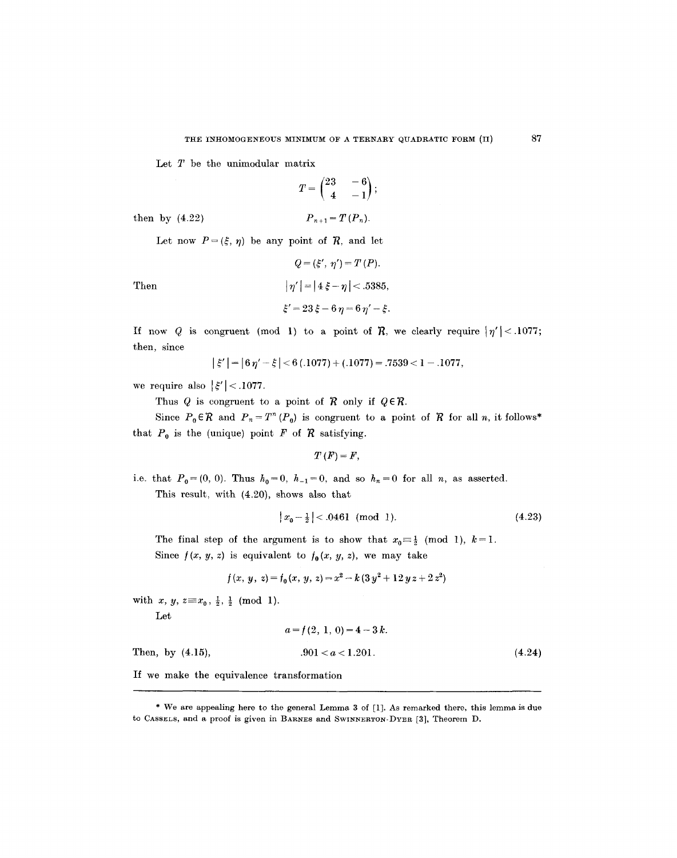Let  $T$  be the unimodular matrix

$$
T=\begin{pmatrix}23 & -6\\ 4 & -1\end{pmatrix};
$$

then by (4.22)  $P_{n+1} = T(P_n)$ .

Let now  $P=(\xi,\eta)$  be any point of  $\mathcal{R}$ , and let

Then 
$$
|\eta'| = |4\xi - \eta| < .5385,
$$

$$
\xi' = 23\xi - 6\eta = 6\eta' - \xi.
$$

 $Q = (\xi', \eta') = T(P).$ 

If now Q is congruent (mod 1) to a point of R, we clearly require  $|\eta'| < .1077$ ; then, since

$$
|\xi'| = |6\eta' - \xi| < 6(.1077) + (.1077) = .7539 < 1 - .1077,
$$

we require also  $|\xi'| < .1077$ .

Thus Q is congruent to a point of  $\mathcal R$  only if  $Q \in \mathcal R$ .

Since  $P_0 \in \mathcal{R}$  and  $P_n = T^n (P_0)$  is congruent to a point of  $\mathcal R$  for all n, it follows\* that  $P_0$  is the (unique) point F of R satisfying.

 $T(F) = F$ ,

i.e. that  $P_0=(0, 0)$ . Thus  $h_0=0$ ,  $h_{-1}=0$ , and so  $h_n=0$  for all n, as asserted. This result, with (4.20), shows also that

$$
|x_0 - \frac{1}{2}| < .0461 \pmod{1}.\tag{4.23}
$$

The final step of the argument is to show that  $x_0 \equiv \frac{1}{2} \pmod{1}$ ,  $k=1$ . Since  $f(x, y, z)$  is equivalent to  $f_0(x, y, z)$ , we may take

$$
f(x, y, z) = f_0(x, y, z) = x^2 - k(3y^2 + 12yz + 2z^2)
$$

with  $x, y, z \equiv x_0, \frac{1}{2}, \frac{1}{2} \pmod{1}$ .

Let

$$
a = f(2, 1, 0) = 4 - 3k.
$$

Then, by  $(4.15)$ ,  $.901 < a < 1.201$ .  $(4.24)$ 

If we make the equivalence transformation

87

<sup>\*</sup> We are appealing here to the general Lemma 3 of [1]. As remarked there, this lemma is due to CASSELS, and a proof is given in BARNES and SWINNERTON-DYER [3], Theorem D.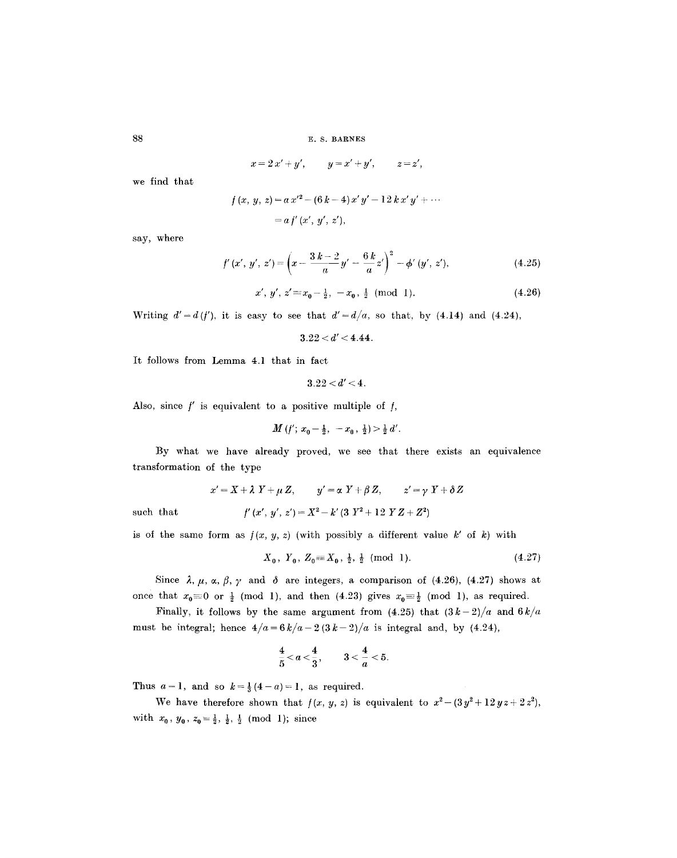**E. S. BARNES** 

$$
x = 2x' + y',
$$
  $y = x' + y',$   $z = z',$ 

we find that

$$
f(x, y, z) = a x'^{2} - (6 k - 4) x' y' - 12 k x' y' + \cdots
$$

$$
= a f' (x', y', z'),
$$

say, where

$$
f'(x', y', z') = \left(x - \frac{3k - 2}{a}y' - \frac{6k}{a}z'\right)^2 - \phi'(y', z'),\tag{4.25}
$$

$$
x', y', z' \equiv x_0 - \frac{1}{2}, -x_0, \frac{1}{2} \pmod{1}.
$$
 (4.26)

Writing  $d' = d(f')$ , it is easy to see that  $d' = d/a$ , so that, by (4.14) and (4.24),

 $3.22 < d' < 4.44$ .

It follows from Lemma 4.1 that in fact

$$
3.22 < d' < 4.
$$

Also, since  $f'$  is equivalent to a positive multiple of  $f$ ,

$$
M(f'; x_0 - \frac{1}{2}, -x_0, \frac{1}{2}) > \frac{1}{2} d'.
$$

By what we have already proved, we see that there exists an equivalence transformation of the type

$$
x'=X+\lambda Y+\mu Z, \qquad y'=\alpha Y+\beta Z, \qquad z'=\gamma Y+\delta Z
$$

such that

$$
f'\left(x',\ y',\ z'\right)=X^2\!-\!k'\,(3\;Y^2\!+12\;Y\,Z\!+Z^2)
$$

is of the same form as  $f(x, y, z)$  (with possibly a different value k' of k) with

$$
X_0, Y_0, Z_0 \equiv X_0, \frac{1}{2}, \frac{1}{2} \pmod{1}.
$$
 (4.27)

Since  $\lambda$ ,  $\mu$ ,  $\alpha$ ,  $\beta$ ,  $\gamma$  and  $\delta$  are integers, a comparison of (4.26), (4.27) shows at once that  $x_0=0$  or  $\frac{1}{2}$  (mod 1), and then (4.23) gives  $x_0=\frac{1}{2}$  (mod 1), as required.

Finally, it follows by the same argument from  $(4.25)$  that  $(3k-2)/a$  and  $6k/a$ must be integral; hence  $4/a = 6k/a - 2(3k-2)/a$  is integral and, by (4.24),

$$
\frac{4}{5}
$$

Thus  $a=1$ , and so  $k=\frac{1}{3}(4-a)=1$ , as required.

We have therefore shown that  $f(x, y, z)$  is equivalent to  $x^2 - (3y^2 + 12yz + 2z^2)$ , with  $x_0$ ,  $y_0$ ,  $z_0 = \frac{1}{2}$ ,  $\frac{1}{2}$ ,  $\frac{1}{2}$  (mod 1); since

88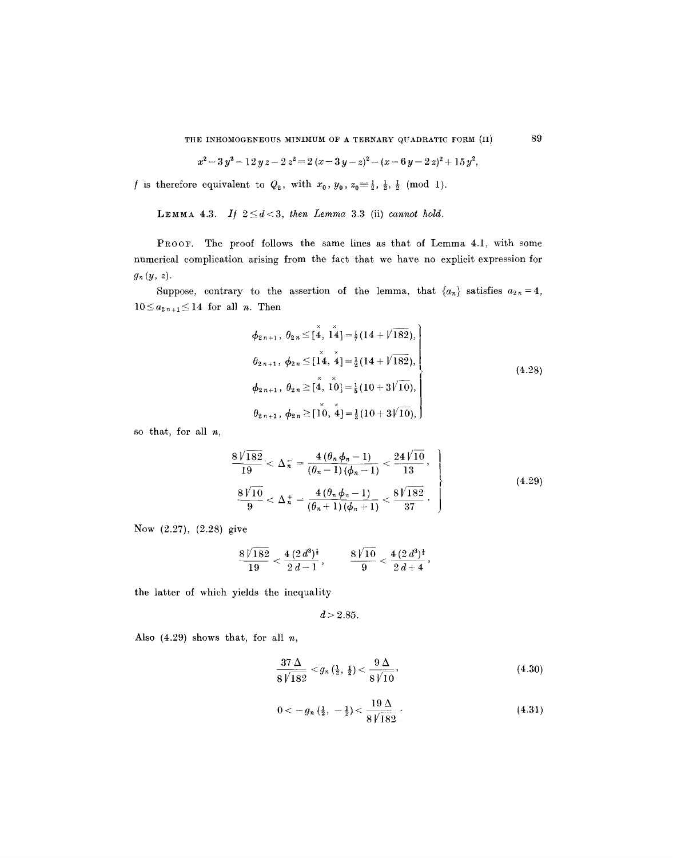THE INHOMOGENEOUS MINIMUM OF A TERNARY QUADRATIC FORM (II) 89

$$
x^2-3y^2-12y z-2 z^2=2 (x-3y-z)^2-(x-6y-2 z)^2+15 y^2,
$$

*f* is therefore equivalent to  $Q_2$ , with  $x_0, y_0, z_0 = \frac{1}{2}, \frac{1}{2}, \frac{1}{2} \pmod{1}$ .

LEMMA 4.3. *If*  $2 \le d < 3$ , *then Lemma 3.3* (ii) *cannot hold.* 

PROOF. The proof follows the same lines as that of Lemma 4.1, with some numerical complication arising from the fact that we have no explicit expression for  $g_n(y, z)$ .

Suppose, contrary to the assertion of the lemma, that  $\{a_n\}$  satisfies  $a_{2n}=4$ ,  $10 \le a_{2n+1} \le 14$  for all *n*. Then

$$
\phi_{2n+1}, \theta_{2n} \leq [\stackrel{\times}{4}, \stackrel{\times}{14}] = \frac{1}{7}(14 + \sqrt{182}),
$$
\n
$$
\theta_{2n+1}, \phi_{2n} \leq [\stackrel{\times}{14}, \stackrel{\times}{4}] = \frac{1}{2}(14 + \sqrt{182}),
$$
\n
$$
\phi_{2n+1}, \theta_{2n} \geq [\stackrel{\times}{4}, \stackrel{\times}{10}] = \frac{1}{5}(10 + 3/\sqrt{10}),
$$
\n
$$
\theta_{2n+1}, \phi_{2n} \geq [\stackrel{\times}{10}, \stackrel{\times}{4}] = \frac{1}{2}(10 + 3/\sqrt{10}),
$$
\n(4.28)

so that, for all  $n$ ,

$$
\begin{aligned}\n\frac{8\sqrt{182}}{19} < \Delta_n^- = \frac{4\left(\theta_n \phi_n - 1\right)}{\left(\theta_n - 1\right)\left(\phi_n - 1\right)} < \frac{24\sqrt{10}}{13}, \\
\frac{8\sqrt{10}}{9} < \Delta_n^+ = \frac{4\left(\theta_n \phi_n - 1\right)}{\left(\theta_n + 1\right)\left(\phi_n + 1\right)} < \frac{8\sqrt{182}}{37}.\n\end{aligned} \tag{4.29}
$$

Now (2.27), (2.28) give

$$
\frac{8\sqrt{182}}{19}<\frac{4\,(2\,d^3)^{\frac{1}{4}}}{2\,d-1}\,,\qquad \frac{8\,\sqrt{10}}{9}<\frac{4\,(2\,d^3)^{\frac{1}{4}}}{2\,d+4}\,,
$$

the latter of which yields the inequality

$$
d > 2.85.
$$

Also  $(4.29)$  shows that, for all  $n$ ,

$$
\frac{37\,\Delta}{8\,\sqrt{182}} < g_n\left(\frac{1}{2},\,\frac{1}{2}\right) < \frac{9\,\Delta}{8\,\sqrt{10}},\tag{4.30}
$$

$$
0 < -g_n\left(\frac{1}{2}, -\frac{1}{2}\right) < \frac{19\,\Delta}{8\sqrt{182}}\,. \tag{4.31}
$$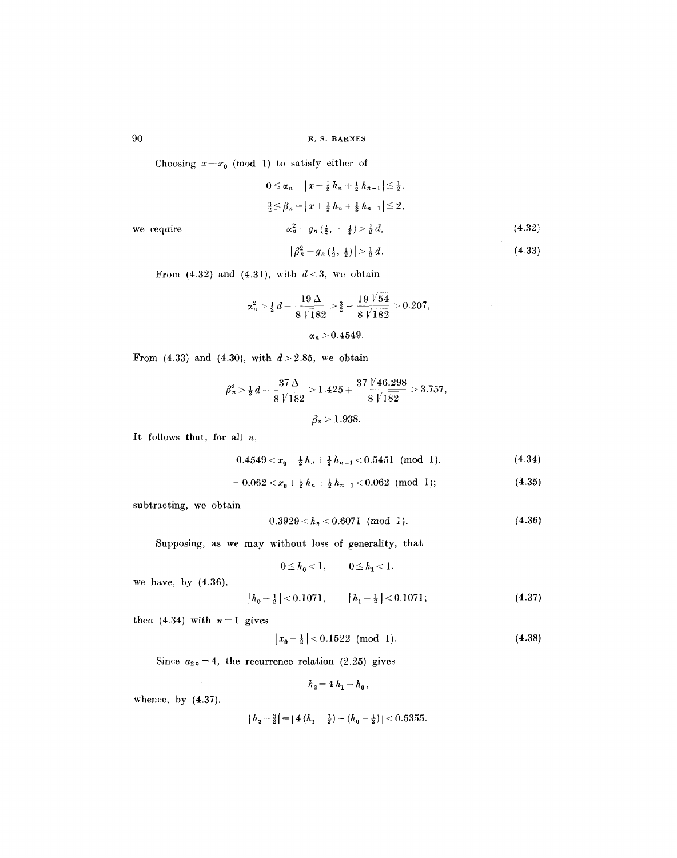90 E, S. BARNES

Choosing  $x \equiv x_0 \pmod{1}$  to satisfy either of

$$
0 \leq \alpha_n = |x - \frac{1}{2} h_n + \frac{1}{2} h_{n-1}| \leq \frac{1}{2},
$$
  

$$
\frac{3}{2} \leq \beta_n = |x + \frac{1}{2} h_n + \frac{1}{2} h_{n-1}| \leq 2,
$$

we require  $\alpha_n^2 - g_n(\frac{1}{2}, -\frac{1}{2}) > \frac{1}{2}d$ ,

$$
|\beta_n^2 - g_n\left(\frac{1}{2}, \frac{1}{2}\right)| > \frac{1}{2} d. \tag{4.33}
$$

(4.32)

From  $(4.32)$  and  $(4.31)$ , with  $d < 3$ , we obtain

$$
\alpha_n^2 > \frac{1}{2} d - \frac{19 \Delta}{8 \sqrt{182}} > \frac{3}{2} - \frac{19 \sqrt{54}}{8 \sqrt{182}} > 0.207,
$$
  

$$
\alpha_n > 0.4549.
$$

From (4.33) and (4.30), with  $d > 2.85$ , we obtain

$$
\beta_n^2 > \frac{1}{2} d + \frac{37 \Delta}{8 \sqrt{182}} > 1.425 + \frac{37 \sqrt{46.298}}{8 \sqrt{182}} > 3.757,
$$
  

$$
\beta_n > 1.938.
$$

It follows that, for all  $n$ ,

$$
0.4549 < x_0 - \frac{1}{2}h_n + \frac{1}{2}h_{n-1} < 0.5451 \text{ (mod 1)},
$$
\n
$$
(4.34)
$$

$$
-0.062 < x_0 + \frac{1}{2}h_n + \frac{1}{2}h_{n-1} < 0.062 \pmod{1};
$$
\n(4.35)

subtracting, we obtain

$$
0.3929 < h_n < 0.6071 \pmod{1}.\tag{4.36}
$$

Supposing, as we may without loss of generality, that

$$
0\!\leq\!h_0\!<\!1,\qquad 0\!\leq\!h_1\!<\!1,
$$

we have, by (4.36),

$$
|h_0 - \frac{1}{2}| < 0.1071, \qquad |h_1 - \frac{1}{2}| < 0.1071; \tag{4.37}
$$

then  $(4.34)$  with  $n=1$  gives

$$
|x_0 - \frac{1}{2}| < 0.1522 \pmod{1}.\tag{4.38}
$$

Since  $a_{2n} = 4$ , the recurrence relation (2.25) gives

$$
h_2 = 4 h_1 - h_0 \,,
$$

whence, by (4.37),

$$
\left| h_2 - \frac{3}{2} \right| = \left| 4 \left( h_1 - \frac{1}{2} \right) - \left( h_0 - \frac{1}{2} \right) \right| < 0.5355.
$$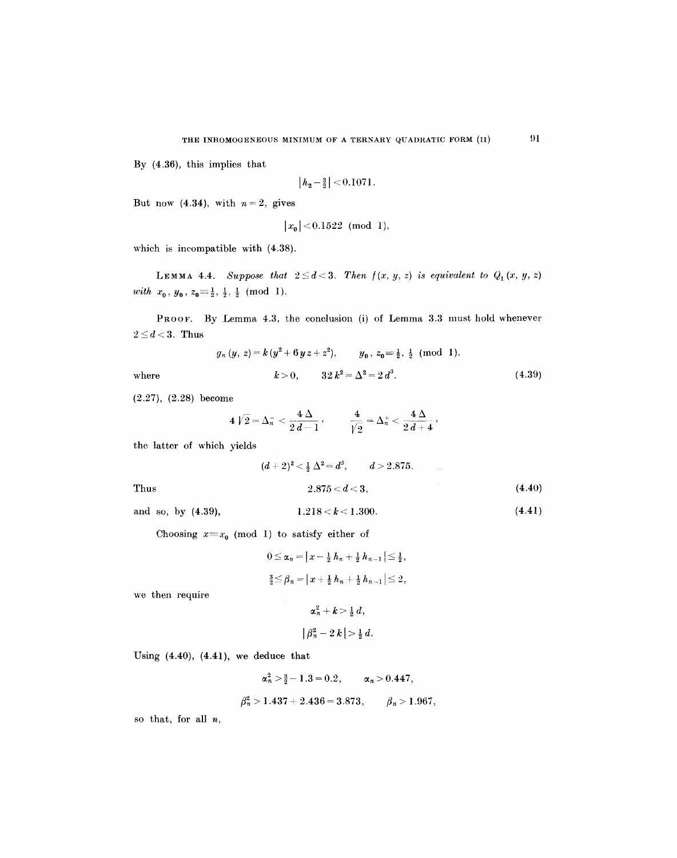By (4.36), this implies that

$$
\left\lfloor h_2 - \tfrac{3}{2} \right\rfloor < 0.1071.
$$

But now (4.34), with  $n=2$ , gives

$$
|x_0| < 0.1522 \pmod{1},
$$

which is incompatible with (4.38).

LEMMA 4.4. *Suppose that*  $2 \le d < 3$ . Then  $f(x, y, z)$  is equivalent to  $Q_1(x, y, z)$ *with*  $x_0, y_0, z_0 \equiv \frac{1}{2}, \frac{1}{2}, \frac{1}{2}$  (mod 1).

PROOF. By Lemma 4.3, the conclusion (i) of Lemma 3.3 must hold whenever  $2\leq d < 3$ . Thus

$$
g_n(y, z) = k(y^2 + 6yz + z^2), \qquad y_0, z_0 \equiv \frac{1}{2}, \frac{1}{2} \pmod{1},
$$

$$
k > 0, \qquad 32 k^2 = \Delta^2 = 2 d^3.
$$
 (4.39)

(2.27), (2.28) become

$$
4\;\sqrt{2}=\Delta_n^-<\frac{4\;\Delta}{2\;d-1}\,,\qquad \ \frac{4}{\sqrt{2}}=\Delta_n^+<\frac{4\;\Delta}{2\;d+4}\,,
$$

the latter of which yields

Thus  
\n
$$
(d+2)^2 < \frac{1}{2} \Delta^2 = d^3, \qquad d > 2.875.
$$
\n
$$
2.875 < d < 3,
$$
\n(4.40)

where

and so, by  $(4.39)$ , 1.218 < k < 1.300.

$$
1.218 < k < 1.300. \tag{4.41}
$$

Choosing  $x \equiv x_0 \pmod{1}$  to satisfy either of

$$
0 \le \alpha_n = |x - \frac{1}{2} h_n + \frac{1}{2} h_{n-1}| \le \frac{1}{2},
$$
  

$$
\frac{3}{2} \le \beta_n = |x + \frac{1}{2} h_n + \frac{1}{2} h_{n-1}| \le 2,
$$

we then require

$$
\begin{array}{l} \alpha_n^2 + k > \frac{1}{2} d, \\ \big|\,\beta_n^2 - 2\,k\,\big| > \frac{1}{2}\,d. \end{array}
$$

Using (4.40), (4.41), we deduce that

$$
\alpha_n^2 > \frac{3}{2} - 1.3 = 0.2
$$
,  $\alpha_n > 0.447$ ,  
 $\beta_n^2 > 1.437 + 2.436 = 3.873$ ,  $\beta_n > 1.967$ ,

so that, for all  $n$ ,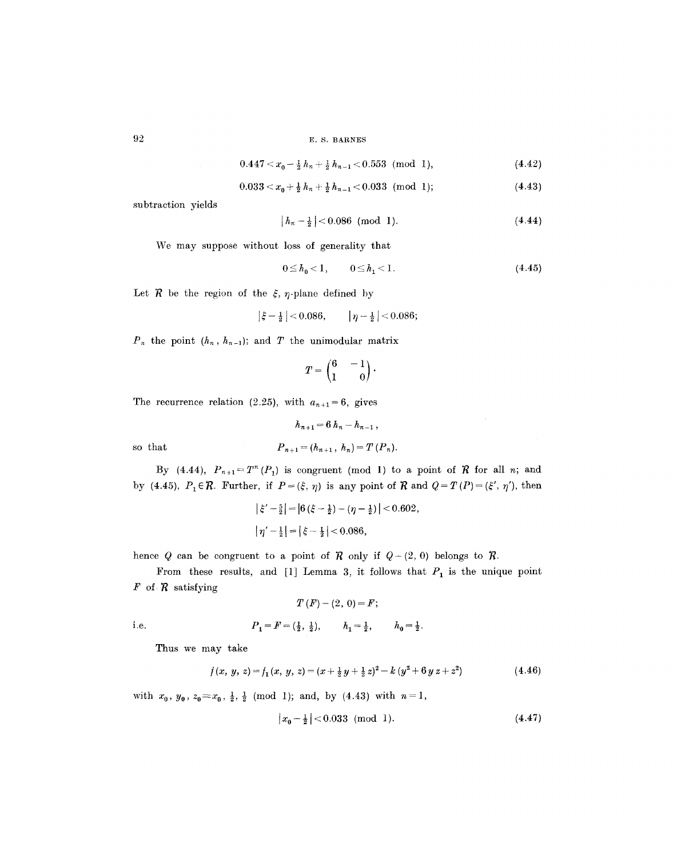**92 E.S. BARNES** 

$$
0.447 < x_0 - \frac{1}{2}h_n + \frac{1}{2}h_{n-1} < 0.553 \pmod{1},\tag{4.42}
$$

$$
0.033 < x_0 + \frac{1}{2}h_n + \frac{1}{2}h_{n-1} < 0.033 \pmod{1};\tag{4.43}
$$

subtraction yields

$$
|h_n - \frac{1}{2}| < 0.086 \pmod{1}.\tag{4.44}
$$

We may suppose without loss of generality that

$$
0 \le h_0 < 1, \qquad 0 \le h_1 < 1. \tag{4.45}
$$

Let  $R$  be the region of the  $\xi$ ,  $\eta$ -plane defined by

 $|\xi - \frac{1}{2}| < 0.086, \qquad |\eta - \frac{1}{2}| < 0.086;$ 

 $P_n$  the point  $(h_n, h_{n-1})$ ; and T the unimodular matrix

$$
T = \begin{pmatrix} 6 & -1 \\ 1 & 0 \end{pmatrix}.
$$

The recurrence relation (2.25), with  $a_{n+1}=6$ , gives

 $h_{n+1} = 6h_n - h_{n-1}$ ,  $P_{n+1} = (h_{n+1}, h_n) = T(P_n).$ so that

By (4.44),  $P_{n+1} = T^n(P_1)$  is congruent (mod 1) to a point of  $\mathcal R$  for all n; and by (4.45),  $P_1 \in \mathcal{R}$ . Further, if  $P = (\xi, \eta)$  is any point of  $\mathcal{R}$  and  $Q = T(P) = (\xi', \eta')$ , then

$$
\left|\xi'-\frac{5}{2}\right| = \left|6\left(\xi-\frac{1}{2}\right)-(\eta-\frac{1}{2})\right| < 0.602,
$$
  

$$
\left|\eta'-\frac{1}{2}\right| = \left|\xi-\frac{1}{2}\right| < 0.086,
$$

hence Q can be congruent to a point of  $R$  only if  $Q-(2, 0)$  belongs to  $R$ .

From these results, and [1] Lemma 3, it follows that  $P_1$  is the unique point  $\mathbf{F}$  of  $\mathbf{R}$  satisfying

$$
T(F)-(2, 0)=F;
$$

i.e. 
$$
P_1 = F = (\frac{1}{2}, \frac{1}{2}), \qquad h_1 = \frac{1}{2}, \qquad h_0 = \frac{1}{2}.
$$

Thus we may take

$$
f(x, y, z) = f_1(x, y, z) = (x + \frac{1}{2}y + \frac{1}{2}z)^2 - k(y^2 + 6yz + z^2)
$$
 (4.46)

with  $x_0$ ,  $y_0$ ,  $z_0 \equiv x_0$ ,  $\frac{1}{2}$ ,  $\frac{1}{2}$  (mod 1); and, by (4.43) with  $n=1$ ,

$$
\left| x_0 - \frac{1}{2} \right| < 0.033 \pmod{1}. \tag{4.47}
$$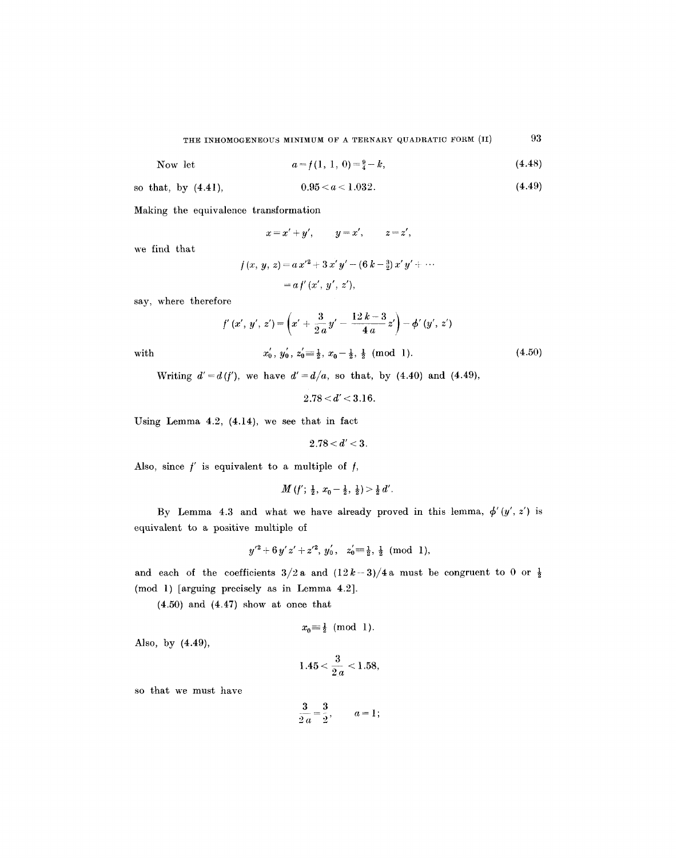Now let 
$$
a = f(1, 1, 0) = \frac{9}{4} - k,
$$
 (4.48)

so that, by (4.41), 
$$
0.95 < a < 1.032
$$
. (4.49)

Making the equivalence transformation

$$
x = x' + y', \qquad y = x', \qquad z = z',
$$

we find that

$$
f(x, y, z) = a x'^2 + 3 x' y' - (6 k - \frac{3}{2}) x' y' + \cdots
$$
  
=  $a f'(x', y', z'),$ 

say, where therefore

with  

$$
f'(x', y', z') = \left(x' + \frac{3}{2a}y' - \frac{12k - 3}{4a}z'\right) - \phi'(y', z')
$$
  
with  

$$
x'_0, y'_0, z'_0 = \frac{1}{2}, x_0 - \frac{1}{2}, \frac{1}{2} \pmod{1}.
$$
 (4.50)

Writing  $d' = d(f')$ , we have  $d' = d/a$ , so that, by (4.40) and (4.49),

$$
2.78 < d' < 3.16.
$$

Using Lemma 4.2, (4.14), we see that in fact

 $2.78 < d' < 3$ .

Also, since  $f'$  is equivalent to a multiple of  $f$ ,

$$
M(f';\, \tfrac{1}{2},\, x_0-\tfrac{1}{2},\, \tfrac{1}{2}) > \tfrac{1}{2}\, d'.
$$

By Lemma 4.3 and what we have already proved in this lemma,  $\phi'(y', z')$  is equivalent to a positive multiple of

$$
y'^2 + 6y'z' + z'^2
$$
,  $y'_0$ ,  $z'_0 \equiv \frac{1}{2}, \frac{1}{2}$  (mod 1),

and each of the coefficients  $3/2$  a and  $(12k-3)/4$  a must be congruent to 0 or  $\frac{1}{2}$ (mod l) [arguing precisely as in Lemma 4.2].

(4.50) and (4.47) show at once that

$$
x_0 \equiv \frac{1}{2} \pmod{1}.
$$

Also, by (4.49),

$$
1.45 < \frac{3}{2.a} < 1.58,
$$

so that we must have

$$
\frac{3}{2\,a}=\frac{3}{2},\qquad a=1\,;
$$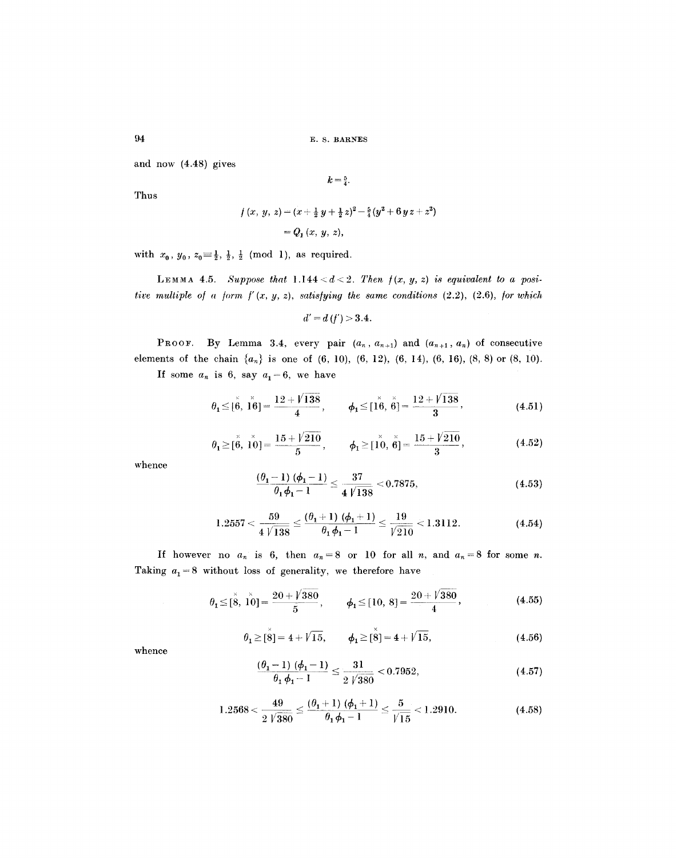94 E.S. BARNES

and now (4.48) gives

 $k=\frac{5}{4}$ .

Thus

$$
f(x, y, z) = (x + \frac{1}{2}y + \frac{1}{2}z)^2 - \frac{5}{4}(y^2 + 6yz + z^2)
$$
  
=  $Q_1(x, y, z)$ ,

with  $x_0, y_0, z_0 \equiv \frac{1}{2}, \frac{1}{2}, \frac{1}{2} \pmod{1}$ , as required.

LEMMA 4.5. *Suppose that*  $1.144 < d < 2$ . Then  $f(x, y, z)$  is equivalent to a posi*tive multiple of a form*  $f'(x, y, z)$ *, satisfying the same conditions (2.2), (2.6), for which* 

$$
d' = d(f') > 3.4.
$$

PROOF. By Lemma 3.4, every pair  $(a_n, a_{n+1})$  and  $(a_{n+1}, a_n)$  of consecutive elements of the chain  $\{a_n\}$  is one of (6, 10), (6, 12), (6, 14), (6, 16), (8, 8) or (8, 10).

If some  $a_n$  is 6, say  $a_1=6$ , we have

$$
\theta_1 \leq [\stackrel{\times}{\theta}, \stackrel{\times}{16}] = \frac{12 + \sqrt{138}}{4}, \qquad \phi_1 \leq [\stackrel{\times}{16}, \stackrel{\times}{6}] = \frac{12 + \sqrt{138}}{3},
$$
\n(4.51)

$$
\theta_1 \geq [\stackrel{\times}{\theta}, \stackrel{\times}{10}] = \frac{15 + \sqrt{210}}{5}, \qquad \phi_1 \geq [\stackrel{\times}{10}, \stackrel{\times}{6}] = \frac{15 + \sqrt{210}}{3}, \tag{4.52}
$$

whence

$$
\frac{(\theta_1 - 1) (\phi_1 - 1)}{\theta_1 \phi_1 - 1} \le \frac{37}{4 \sqrt{138}} < 0.7875,\tag{4.53}
$$

$$
1.2557 < \frac{59}{4\sqrt{138}} \le \frac{(\theta_1+1)(\phi_1+1)}{\theta_1\phi_1-1} \le \frac{19}{\sqrt{210}} < 1.3112. \tag{4.54}
$$

If however no  $a_n$  is 6, then  $a_n=8$  or 10 for all *n*, and  $a_n=8$  for some *n*. Taking  $a_1 = 8$  without loss of generality, we therefore have

$$
\theta_1 \leq [\overset{\times}{8}, \overset{\times}{10}] = \frac{20 + \sqrt{380}}{5}, \qquad \phi_1 \leq [10, 8] = \frac{20 + \sqrt{380}}{4},
$$
\n(4.55)

$$
\theta_1 \geq [\overset{\times}{8}] = 4 + \sqrt{15}, \qquad \phi_1 \geq [\overset{\times}{8}] = 4 + \sqrt{15},
$$
\n(4.56)

whence

$$
\frac{(\theta_1 - 1)(\phi_1 - 1)}{\theta_1 \phi_1 - 1} \le \frac{31}{2\sqrt{380}} < 0.7952,\tag{4.57}
$$

$$
1.2568 < \frac{49}{2\sqrt{380}} \le \frac{(\theta_1 + 1)(\phi_1 + 1)}{\theta_1\phi_1 - 1} \le \frac{5}{\sqrt{15}} < 1.2910. \tag{4.58}
$$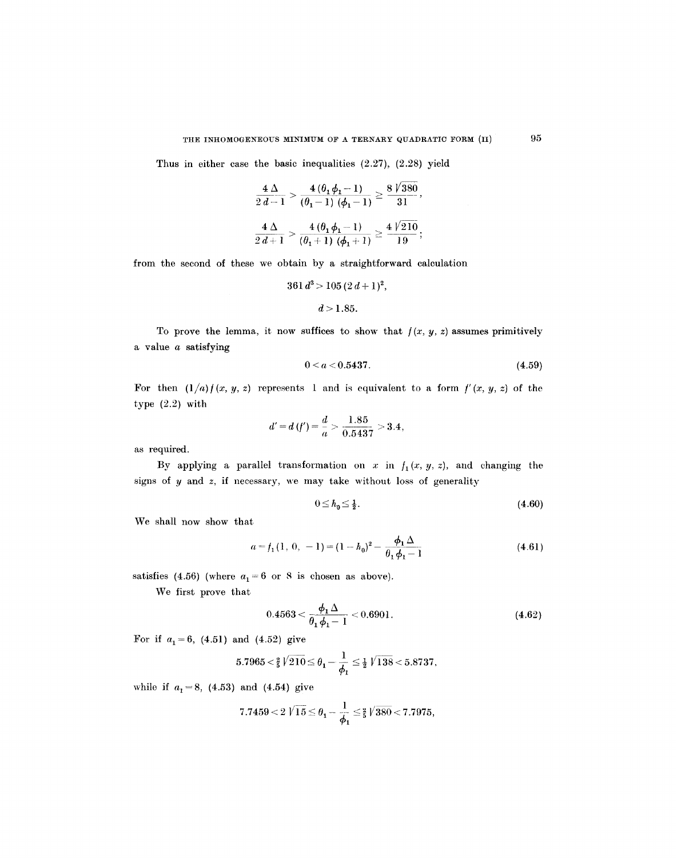Thus in either case the basic inequalities (2.27), (2.28) yield

$$
\frac{4\Delta}{2d-1} > \frac{4(\theta_1\phi_1 - 1)}{(\theta_1 - 1)(\phi_1 - 1)} \ge \frac{8\sqrt{380}}{31},
$$
  

$$
\frac{4\Delta}{2d+1} > \frac{4(\theta_1\phi_1 - 1)}{(\theta_1 + 1)(\phi_1 + 1)} \ge \frac{4\sqrt{210}}{19};
$$

from the second of these we obtain by a straightforward calculation

$$
361 d3 > 105 (2 d + 1)2,
$$
  

$$
d > 1.85.
$$

To prove the lemma, it now suffices to show that  $f(x, y, z)$  assumes primitively a value a satisfying

$$
0 < a < 0.5437. \tag{4.59}
$$

For then  $(1/a) f(x, y, z)$  represents 1 and is equivalent to a form  $f'(x, y, z)$  of the type (2.2) with

$$
d'=d(f')=\frac{d}{a}>\frac{1.85}{0.5437}>3.4,
$$

as required.

By applying a parallel transformation on x in  $f_1(x, y, z)$ , and changing the signs of  $y$  and  $z$ , if necessary, we may take without loss of generality

$$
0 \le h_0 \le \frac{1}{2}.\tag{4.60}
$$

We shall now show that

$$
a = f_1(1, 0, -1) = (1 - h_0)^2 - \frac{\phi_1 \Delta}{\theta_1 \phi_1 - 1}
$$
 (4.61)

satisfies (4.56) (where  $a_1 = 6$  or 8 is chosen as above).

We first prove that

$$
0.4563 < \frac{\phi_1 \Delta}{\theta_1 \phi_1 - 1} < 0.6901. \tag{4.62}
$$

For if  $a_1=6$ , (4.51) and (4.52) give

$$
5.7965<\tfrac{2}{5}\sqrt{210}\!\le\theta_1\!-\!\frac{1}{\phi_1}\le\tfrac{1}{2}\sqrt{138}\!<\!5.8737,
$$

while if  $a_1 = 8$ , (4.53) and (4.54) give

$$
7.7459<2\ \textrm{$\sqrt{15}$}\leq\theta_1-\frac{1}{\phi_1}\leq\tfrac{2}{5}\sqrt{380}<7.7975,
$$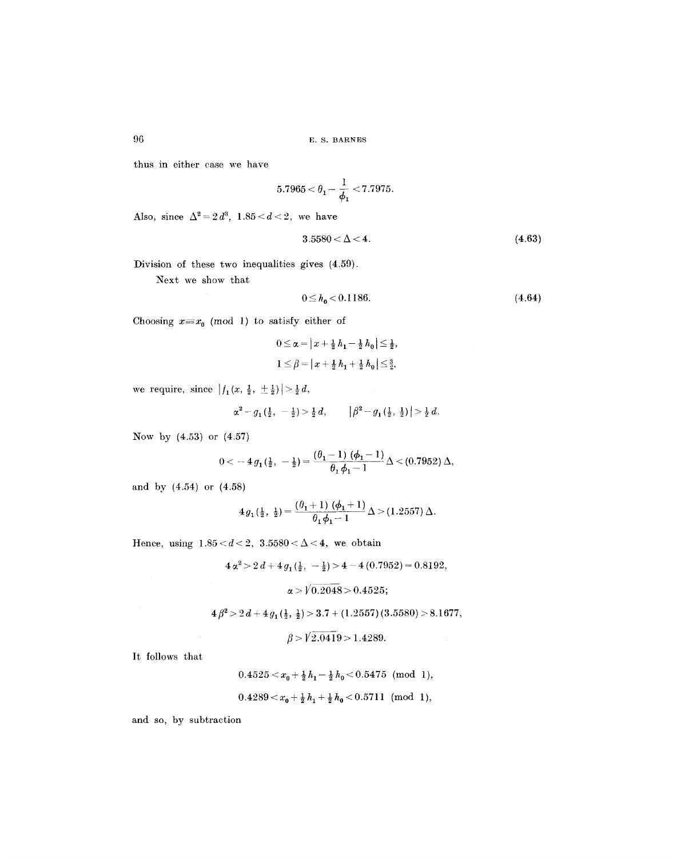thus in either case we have

$$
5.7965 < \theta_1 - \frac{1}{\phi_1} < 7.7975.
$$

Also, since  $\Delta^2 = 2d^3$ ,  $1.85 < d < 2$ , we have

$$
3.5580 < \Delta < 4. \tag{4.63}
$$

Division of these two inequalities gives (4.59).

Next we show that

$$
0 \le h_0 < 0.1186. \tag{4.64}
$$

Choosing  $x=x_0 \pmod{1}$  to satisfy either of

$$
0 \le \alpha = |x + \frac{1}{2} h_1 - \frac{1}{2} h_0| \le \frac{1}{2},
$$
  

$$
1 \le \beta = |x + \frac{1}{2} h_1 + \frac{1}{2} h_0| \le \frac{3}{2},
$$

we require, since  $|f_1(x, \frac{1}{2}, \pm \frac{1}{2})| > \frac{1}{2}d$ ,

$$
\alpha^2 - g_1(\tfrac{1}{2}, -\tfrac{1}{2}) > \tfrac{1}{2}d, \qquad \big|\beta^2 - g_1(\tfrac{1}{2}, \tfrac{1}{2})\big| > \tfrac{1}{2}d.
$$

Now by (4.53) or (4.57)

$$
0< -4 g_1(\frac{1}{2}, -\frac{1}{2}) = \frac{(\theta_1-1) (\phi_1-1)}{\theta_1 \phi_1 - 1} \Delta < (0.7952) \Delta,
$$

and by (4.54) or (4.58)

$$
4 g_1(\frac{1}{2}, \frac{1}{2}) = \frac{(\theta_1+1) (\phi_1+1)}{\theta_1 \phi_1 - 1} \Delta > (1.2557) \Delta.
$$

Hence, using  $1.85 < d < 2$ ,  $3.5580 < \Delta < 4$ , we obtain

 $4 \alpha^2 > 2 d + 4 g_1(\frac{1}{2}, -\frac{1}{2}) > 4 - 4 (0.7952) = 0.8192,$ 

 $\alpha$  >  $\sqrt{0.2048}$  > 0.4525;

 $4\beta^2 > 2d+ 4g_1(\frac{1}{2}, \frac{1}{2}) > 3.7 + (1.2557)(3.5580) > 8.1677,$ 

$$
\beta > \sqrt{2.0419} > 1.4289.
$$

It follows that

$$
0.4525 < x_0 + \frac{1}{2}h_1 - \frac{1}{2}h_0 < 0.5475 \pmod{1},
$$
\n
$$
0.4289 < x_0 + \frac{1}{2}h_1 + \frac{1}{2}h_0 < 0.5711 \pmod{1},
$$

and so, by subtraction

96